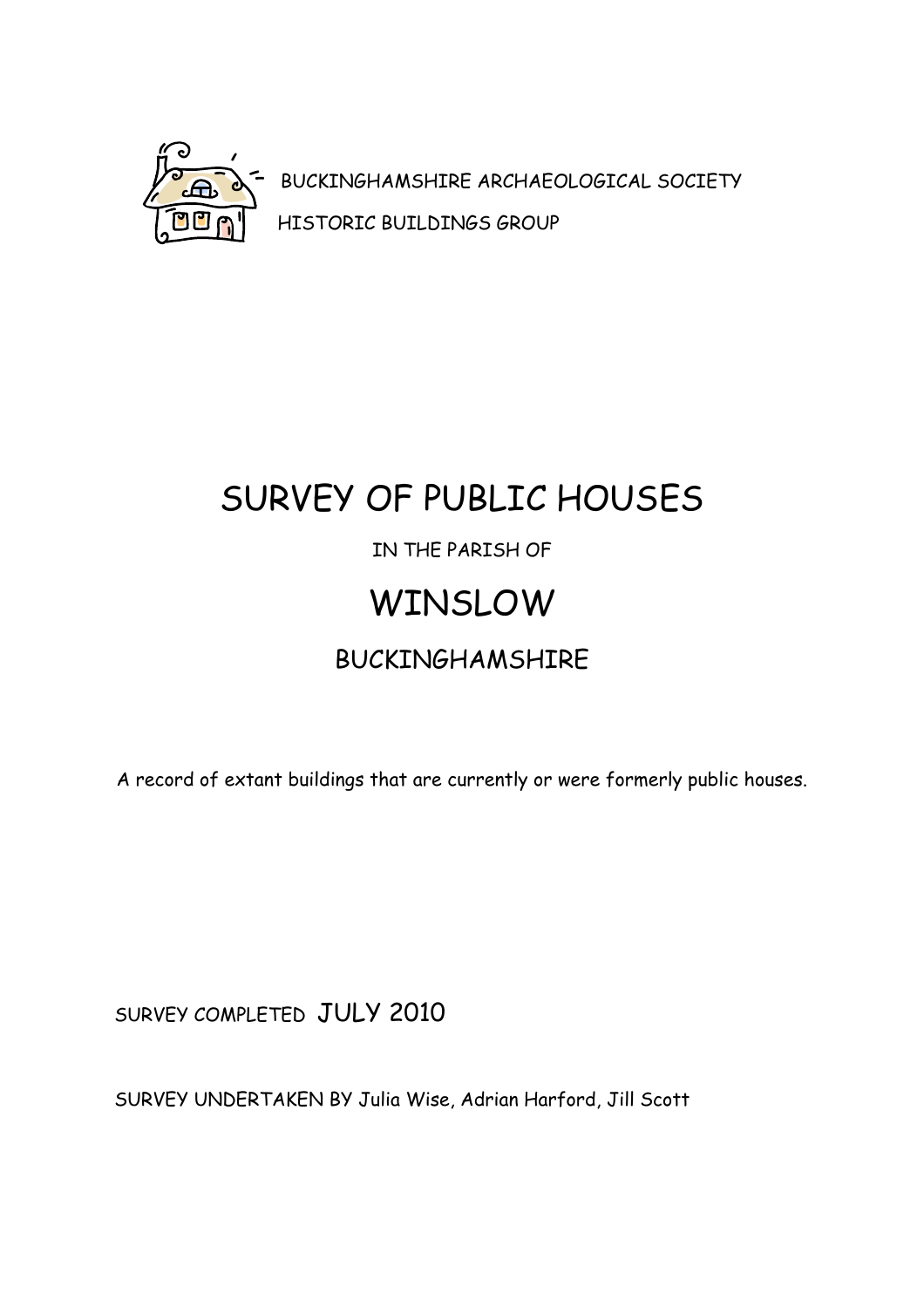

BUCKINGHAMSHIRE ARCHAEOLOGICAL SOCIETY HISTORIC BUILDINGS GROUP

# SURVEY OF PUBLIC HOUSES IN THE PARISH OF WINSLOW BUCKINGHAMSHIRE

A record of extant buildings that are currently or were formerly public houses.

SURVEY COMPLETED JULY 2010

SURVEY UNDERTAKEN BY Julia Wise, Adrian Harford, Jill Scott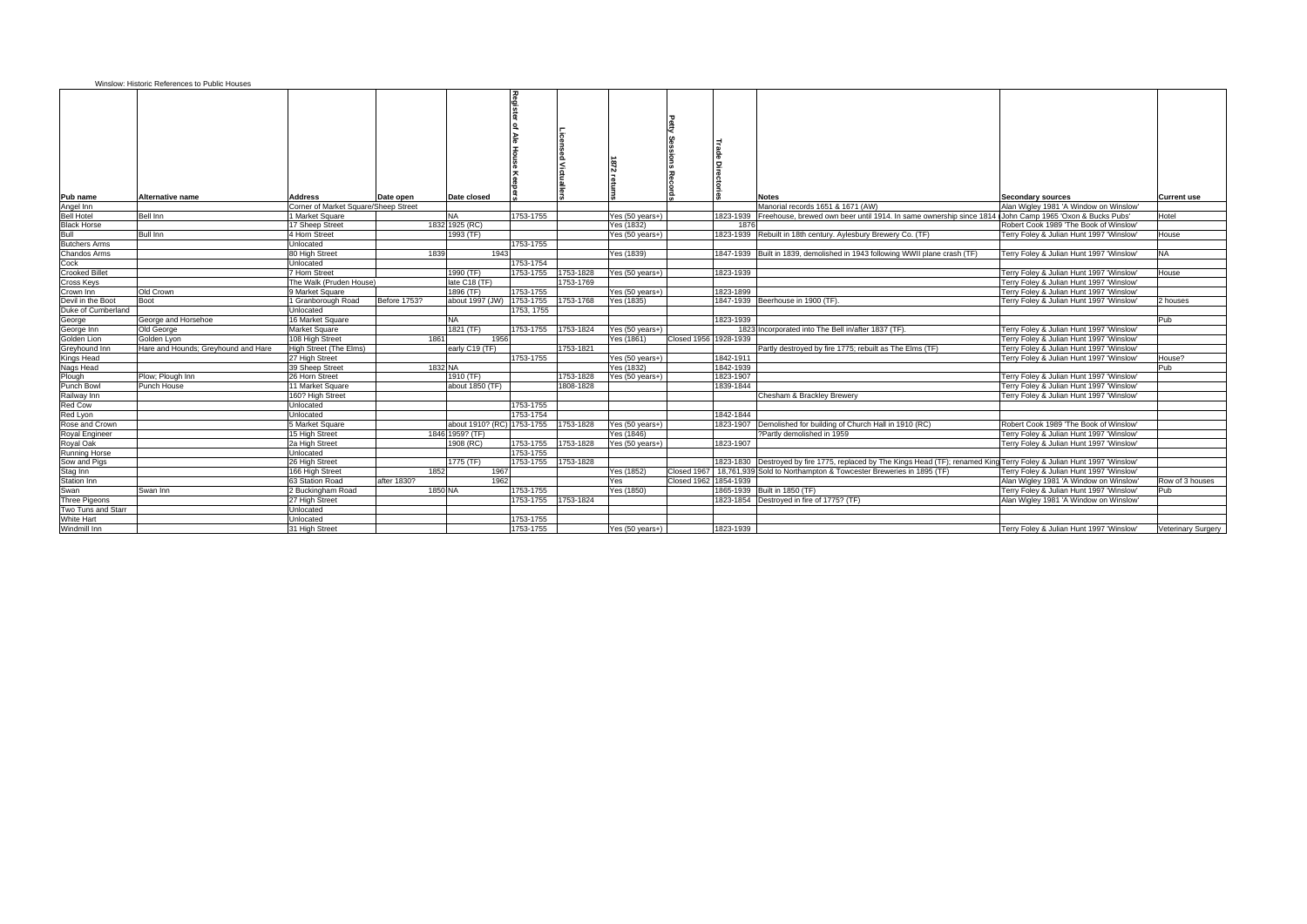|                       | Winslow: Historic References to Public Houses |                                      |                     |                            |                     |           |                           |                       |           |                                                                                                                            |                                          |                    |
|-----------------------|-----------------------------------------------|--------------------------------------|---------------------|----------------------------|---------------------|-----------|---------------------------|-----------------------|-----------|----------------------------------------------------------------------------------------------------------------------------|------------------------------------------|--------------------|
| Pub name              | <b>Alternative name</b>                       | Address                              | Date open           | Date closed                |                     |           |                           |                       |           | <b>Notes</b>                                                                                                               | <b>Secondary sources</b>                 | <b>Current use</b> |
| Angel Inn             |                                               | Corner of Market Square/Sheep Street |                     |                            |                     |           |                           |                       |           | Manorial records 1651 & 1671 (AW)                                                                                          | Alan Wigley 1981 'A Window on Winslow'   |                    |
| <b>Bell Hotel</b>     | <b>Bell Inn</b>                               | 1 Market Square                      |                     | <b>NA</b>                  | 1753-1755           |           | Yes $(50 \text{ years+})$ |                       | 1823-1939 | Freehouse, brewed own beer until 1914. In same ownership since 1814                                                        | John Camp 1965 'Oxon & Bucks Pubs'       | Hotel              |
| <b>Black Horse</b>    |                                               | 17 Sheep Street                      |                     | 1832 1925 (RC)             |                     |           | Yes (1832)                |                       | 1876      |                                                                                                                            | Robert Cook 1989 'The Book of Winslow'   |                    |
| Bull                  | <b>Bull Inn</b>                               | 4 Horn Street                        |                     | 1993 (TF)                  |                     |           | Yes $(50 \text{ years+})$ |                       |           | 1823-1939 Rebuilt in 18th century. Aylesbury Brewery Co. (TF)                                                              | Terry Foley & Julian Hunt 1997 'Winslow  | House              |
| <b>Butchers Arms</b>  |                                               | Unlocated                            |                     |                            | 1753-1755           |           |                           |                       |           |                                                                                                                            |                                          |                    |
| Chandos Arms          |                                               | 80 High Street                       | 1839                | 1943                       |                     |           | Yes (1839)                |                       |           | 1847-1939 Built in 1839, demolished in 1943 following WWII plane crash (TF)                                                | Terry Foley & Julian Hunt 1997 'Winslow' | <b>NA</b>          |
| Cock                  |                                               | Unlocated                            |                     |                            | 1753-1754           |           |                           |                       |           |                                                                                                                            |                                          |                    |
| <b>Crooked Billet</b> |                                               | 7 Horn Street                        |                     | 1990 (TF)                  | 1753-1755           | 1753-1828 | Yes (50 years+)           |                       | 1823-1939 |                                                                                                                            | Terry Foley & Julian Hunt 1997 'Winslow' | House              |
| Cross Keys            |                                               | The Walk (Pruden House)              |                     | late C18 (TF)              |                     | 1753-1769 |                           |                       |           |                                                                                                                            | Terry Foley & Julian Hunt 1997 'Winslow' |                    |
| Crown Inn             | Old Crown                                     | 9 Market Square                      |                     | 1896 (TF)                  | 1753-1755           |           | Yes (50 years+)           |                       | 1823-1899 |                                                                                                                            | Terry Foley & Julian Hunt 1997 'Winslow' |                    |
| Devil in the Boot     | Boot                                          | 1 Granborough Road                   | <b>Before 1753?</b> | about 1997 (JW) 1753-1755  |                     | 1753-1768 | Yes (1835)                |                       |           | 1847-1939 Beerhouse in 1900 (TF).                                                                                          | Terry Foley & Julian Hunt 1997 'Winslow' | 2 houses           |
| Duke of Cumberland    |                                               | Unlocated                            |                     |                            | 1753, 1755          |           |                           |                       |           |                                                                                                                            |                                          |                    |
| George                | George and Horsehoe                           | 16 Market Square                     |                     | <b>NA</b>                  |                     |           |                           |                       | 1823-1939 |                                                                                                                            |                                          | Pub                |
| George Inn            | Old George                                    | <b>Market Square</b>                 |                     | 1821 (TF)                  | 1753-1755           | 1753-1824 | Yes (50 years+)           |                       |           | 1823 Incorporated into The Bell in/after 1837 (TF).                                                                        | Terry Foley & Julian Hunt 1997 'Winslow' |                    |
| Golden Lion           | Golden Lyon                                   | 108 High Street                      | 1861                | 1956                       |                     |           | Yes (1861)                | Closed 1956 1928-1939 |           |                                                                                                                            | Terry Foley & Julian Hunt 1997 'Winslow' |                    |
| Greyhound Inn         | Hare and Hounds; Greyhound and Hare           | High Street (The Elms)               |                     | early C19 (TF)             |                     | 1753-1821 |                           |                       |           | Partly destroyed by fire 1775; rebuilt as The Elms (TF)                                                                    | Terry Foley & Julian Hunt 1997 'Winslow' |                    |
| <b>Kings Head</b>     |                                               | 27 High Street                       |                     |                            | 1753-1755           |           | Yes (50 years+)           |                       | 1842-1911 |                                                                                                                            | Terry Foley & Julian Hunt 1997 'Winslow' | House?             |
| Nags Head             |                                               | 39 Sheep Street                      | 1832 NA             |                            |                     |           | Yes (1832)                |                       | 1842-1939 |                                                                                                                            |                                          | Pub                |
| Plough                | Plow; Plough Inn                              | 26 Horn Street                       |                     | 1910 (TF)                  |                     | 1753-1828 | Yes $(50 \text{ years+})$ |                       | 1823-1907 |                                                                                                                            | Terry Foley & Julian Hunt 1997 'Winslow' |                    |
| <b>Punch Bowl</b>     | Punch House                                   | 11 Market Square                     |                     | about 1850 (TF)            |                     | 1808-1828 |                           |                       | 1839-1844 |                                                                                                                            | Terry Foley & Julian Hunt 1997 'Winslow' |                    |
| Railway Inn           |                                               | 160? High Street                     |                     |                            |                     |           |                           |                       |           | Chesham & Brackley Brewery                                                                                                 | Terry Foley & Julian Hunt 1997 'Winslow' |                    |
| <b>Red Cow</b>        |                                               | Unlocated                            |                     |                            | 1753-1755           |           |                           |                       |           |                                                                                                                            |                                          |                    |
| Red Lyon              |                                               | Unlocated                            |                     |                            | 1753-1754           |           |                           |                       | 1842-1844 |                                                                                                                            |                                          |                    |
| Rose and Crown        |                                               | 5 Market Square                      |                     | about 1910? (RC) 1753-1755 |                     | 1753-1828 | Yes (50 years+)           |                       |           | 1823-1907   Demolished for building of Church Hall in 1910 (RC)                                                            | Robert Cook 1989 'The Book of Winslow'   |                    |
| Royal Engineer        |                                               | 15 High Street                       |                     | 1846 1959? (TF)            |                     |           | Yes (1846)                |                       |           | ?Partly demolished in 1959                                                                                                 | Terry Foley & Julian Hunt 1997 'Winslow' |                    |
| Royal Oak             |                                               | 2a High Street                       |                     | 1908 (RC)                  | 1753-1755           | 1753-1828 | Yes $(50 \text{ years+})$ |                       | 1823-1907 |                                                                                                                            | Terry Foley & Julian Hunt 1997 'Winslow' |                    |
| <b>Running Horse</b>  |                                               | Unlocated                            |                     |                            | 1753-1755           |           |                           |                       |           |                                                                                                                            |                                          |                    |
| Sow and Pigs          |                                               | 26 High Street                       |                     | 1775 (TF)                  | 1753-1755           | 1753-1828 |                           |                       |           | 1823-1830   Destroyed by fire 1775, replaced by The Kings Head (TF); renamed King Terry Foley & Julian Hunt 1997 'Winslow' |                                          |                    |
| Stag Inn              |                                               | 166 High Street                      | 1852                | 1967                       |                     |           | Yes (1852)                |                       |           | Closed 1967   18,761,939 Sold to Northampton & Towcester Breweries in 1895 (TF)                                            | Terry Foley & Julian Hunt 1997 'Winslow' |                    |
| <b>Station Inn</b>    |                                               | 63 Station Road                      | after 1830?         | 1962                       |                     |           | Yes                       | Closed 1962 1854-1939 |           |                                                                                                                            | Alan Wigley 1981 'A Window on Winslow'   | Row of 3 houses    |
| Swan                  | Swan Inn                                      | 2 Buckingham Road                    | 1850 NA             |                            | 1753-1755           |           | Yes (1850)                |                       |           | 1865-1939 Built in 1850 (TF)                                                                                               | Terry Foley & Julian Hunt 1997 'Winslow' | Pub                |
| Three Pigeons         |                                               | 27 High Street                       |                     |                            | 1753-1755 1753-1824 |           |                           |                       |           | 1823-1854 Destroyed in fire of 1775? (TF)                                                                                  | Alan Wigley 1981 'A Window on Winslow'   |                    |
| Two Tuns and Starr    |                                               | Unlocated                            |                     |                            |                     |           |                           |                       |           |                                                                                                                            |                                          |                    |
| White Hart            |                                               | Unlocated                            |                     |                            | 1753-1755           |           |                           |                       |           |                                                                                                                            |                                          |                    |
| Windmill Inn          |                                               | 31 High Street                       |                     |                            | 1753-1755           |           | Yes $(50 \text{ years+})$ |                       | 1823-1939 |                                                                                                                            | Terry Foley & Julian Hunt 1997 'Winslow' | Veterinary Surgery |
|                       |                                               |                                      |                     |                            |                     |           |                           |                       |           |                                                                                                                            |                                          |                    |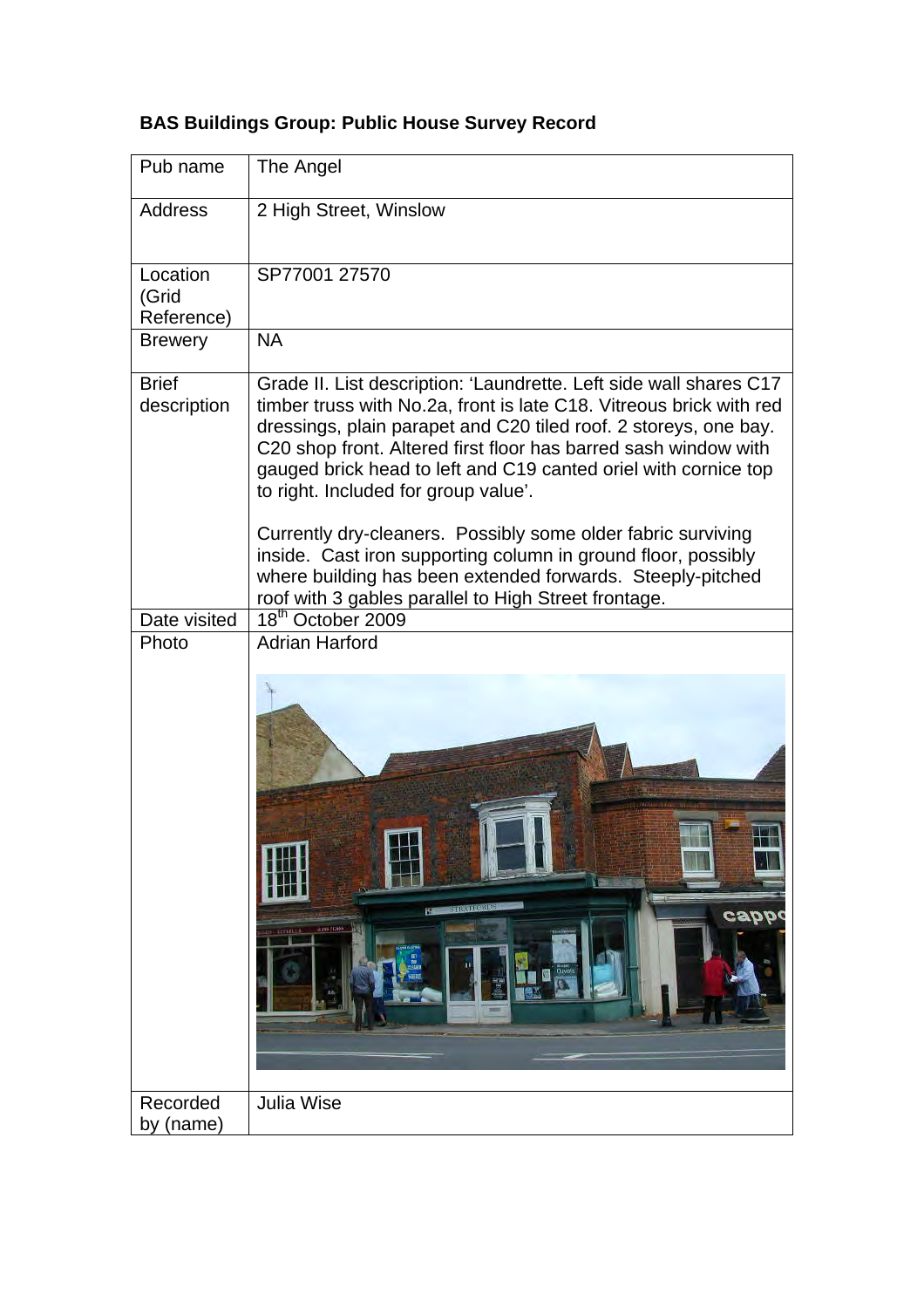| Pub name                        | The Angel                                                                                                                                                                                                                                                                                                                                                                                                                                                                                                                                                                                  |
|---------------------------------|--------------------------------------------------------------------------------------------------------------------------------------------------------------------------------------------------------------------------------------------------------------------------------------------------------------------------------------------------------------------------------------------------------------------------------------------------------------------------------------------------------------------------------------------------------------------------------------------|
| <b>Address</b>                  | 2 High Street, Winslow                                                                                                                                                                                                                                                                                                                                                                                                                                                                                                                                                                     |
| Location<br>(Grid<br>Reference) | SP77001 27570                                                                                                                                                                                                                                                                                                                                                                                                                                                                                                                                                                              |
| <b>Brewery</b>                  | <b>NA</b>                                                                                                                                                                                                                                                                                                                                                                                                                                                                                                                                                                                  |
| <b>Brief</b><br>description     | Grade II. List description: 'Laundrette. Left side wall shares C17<br>timber truss with No.2a, front is late C18. Vitreous brick with red<br>dressings, plain parapet and C20 tiled roof. 2 storeys, one bay.<br>C20 shop front. Altered first floor has barred sash window with<br>gauged brick head to left and C19 canted oriel with cornice top<br>to right. Included for group value'.<br>Currently dry-cleaners. Possibly some older fabric surviving<br>inside. Cast iron supporting column in ground floor, possibly<br>where building has been extended forwards. Steeply-pitched |
| Date visited                    | roof with 3 gables parallel to High Street frontage.<br>18 <sup>th</sup> October 2009                                                                                                                                                                                                                                                                                                                                                                                                                                                                                                      |
| Photo                           | <b>Adrian Harford</b><br><b>STIRA UNDER</b><br>cappo<br>01259 (1245)<br>$-1378114$                                                                                                                                                                                                                                                                                                                                                                                                                                                                                                         |
| Recorded<br>by (name)           | Julia Wise                                                                                                                                                                                                                                                                                                                                                                                                                                                                                                                                                                                 |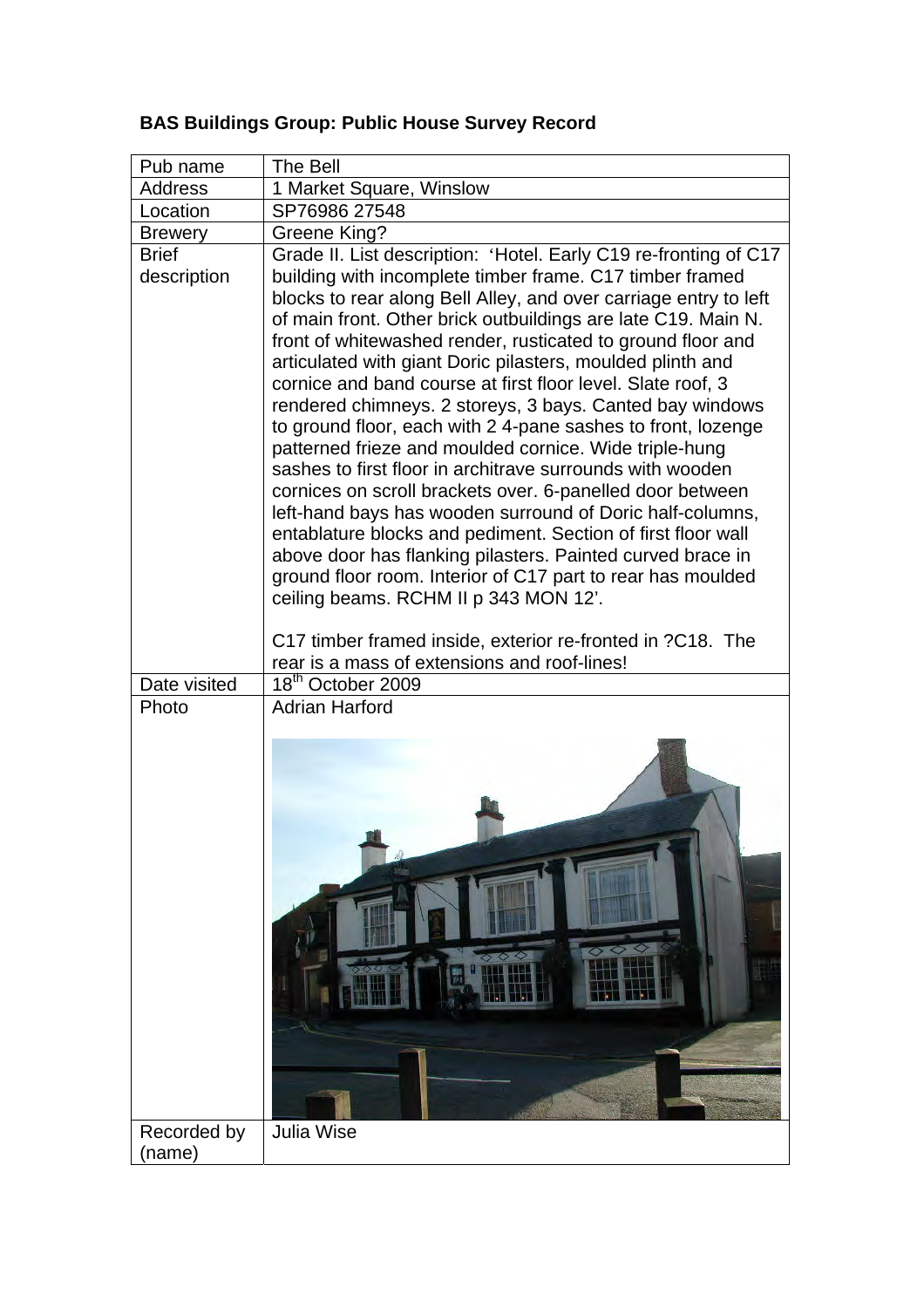| Pub name                    | The Bell                                                                                                                                                                                                                                                                                                                                                                                                                                                                                                                                                                                                                                                                                                                                                                                                                                                                                                                                                                                                                                                                        |
|-----------------------------|---------------------------------------------------------------------------------------------------------------------------------------------------------------------------------------------------------------------------------------------------------------------------------------------------------------------------------------------------------------------------------------------------------------------------------------------------------------------------------------------------------------------------------------------------------------------------------------------------------------------------------------------------------------------------------------------------------------------------------------------------------------------------------------------------------------------------------------------------------------------------------------------------------------------------------------------------------------------------------------------------------------------------------------------------------------------------------|
| <b>Address</b>              | 1 Market Square, Winslow                                                                                                                                                                                                                                                                                                                                                                                                                                                                                                                                                                                                                                                                                                                                                                                                                                                                                                                                                                                                                                                        |
| Location                    | SP76986 27548                                                                                                                                                                                                                                                                                                                                                                                                                                                                                                                                                                                                                                                                                                                                                                                                                                                                                                                                                                                                                                                                   |
| <b>Brewery</b>              | Greene King?                                                                                                                                                                                                                                                                                                                                                                                                                                                                                                                                                                                                                                                                                                                                                                                                                                                                                                                                                                                                                                                                    |
| <b>Brief</b><br>description | Grade II. List description: 'Hotel. Early C19 re-fronting of C17<br>building with incomplete timber frame. C17 timber framed<br>blocks to rear along Bell Alley, and over carriage entry to left<br>of main front. Other brick outbuildings are late C19. Main N.<br>front of whitewashed render, rusticated to ground floor and<br>articulated with giant Doric pilasters, moulded plinth and<br>cornice and band course at first floor level. Slate roof, 3<br>rendered chimneys. 2 storeys, 3 bays. Canted bay windows<br>to ground floor, each with 24-pane sashes to front, lozenge<br>patterned frieze and moulded cornice. Wide triple-hung<br>sashes to first floor in architrave surrounds with wooden<br>cornices on scroll brackets over. 6-panelled door between<br>left-hand bays has wooden surround of Doric half-columns,<br>entablature blocks and pediment. Section of first floor wall<br>above door has flanking pilasters. Painted curved brace in<br>ground floor room. Interior of C17 part to rear has moulded<br>ceiling beams. RCHM II p 343 MON 12'. |
|                             | C17 timber framed inside, exterior re-fronted in ?C18. The<br>rear is a mass of extensions and roof-lines!                                                                                                                                                                                                                                                                                                                                                                                                                                                                                                                                                                                                                                                                                                                                                                                                                                                                                                                                                                      |
| Date visited                | 18 <sup>th</sup> October 2009                                                                                                                                                                                                                                                                                                                                                                                                                                                                                                                                                                                                                                                                                                                                                                                                                                                                                                                                                                                                                                                   |
| Photo                       | <b>Adrian Harford</b>                                                                                                                                                                                                                                                                                                                                                                                                                                                                                                                                                                                                                                                                                                                                                                                                                                                                                                                                                                                                                                                           |
| Recorded by<br>(name)       | <b>Julia Wise</b>                                                                                                                                                                                                                                                                                                                                                                                                                                                                                                                                                                                                                                                                                                                                                                                                                                                                                                                                                                                                                                                               |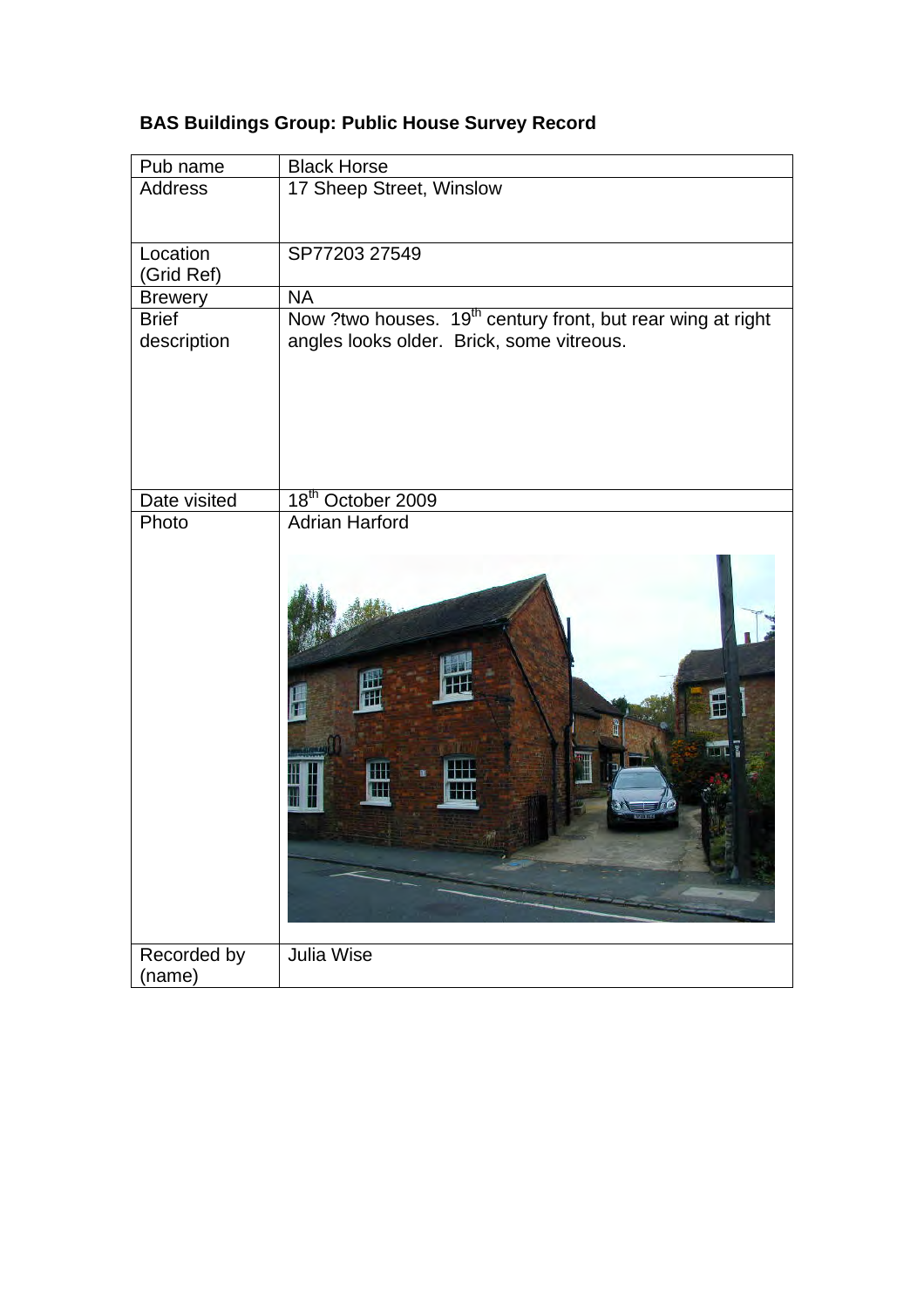| <b>BAS Buildings Group: Public House Survey Record</b> |  |
|--------------------------------------------------------|--|
|--------------------------------------------------------|--|

| Pub name       | <b>Black Horse</b>                                                      |
|----------------|-------------------------------------------------------------------------|
| <b>Address</b> | 17 Sheep Street, Winslow                                                |
|                |                                                                         |
| Location       | SP77203 27549                                                           |
| (Grid Ref)     |                                                                         |
| <b>Brewery</b> | <b>NA</b>                                                               |
| <b>Brief</b>   | Now ?two houses. 19 <sup>th</sup> century front, but rear wing at right |
| description    | angles looks older. Brick, some vitreous.                               |
|                |                                                                         |
|                |                                                                         |
|                |                                                                         |
|                |                                                                         |
|                |                                                                         |
| Date visited   | 18 <sup>th</sup> October 2009                                           |
| Photo          | <b>Adrian Harford</b>                                                   |
|                |                                                                         |
|                |                                                                         |
|                |                                                                         |
|                |                                                                         |
|                |                                                                         |
|                |                                                                         |
|                |                                                                         |
|                | ᇣ                                                                       |
|                |                                                                         |
|                |                                                                         |
|                |                                                                         |
|                |                                                                         |
|                |                                                                         |
|                |                                                                         |
|                |                                                                         |
|                |                                                                         |
|                |                                                                         |
| Recorded by    | <b>Julia Wise</b>                                                       |
| (name)         |                                                                         |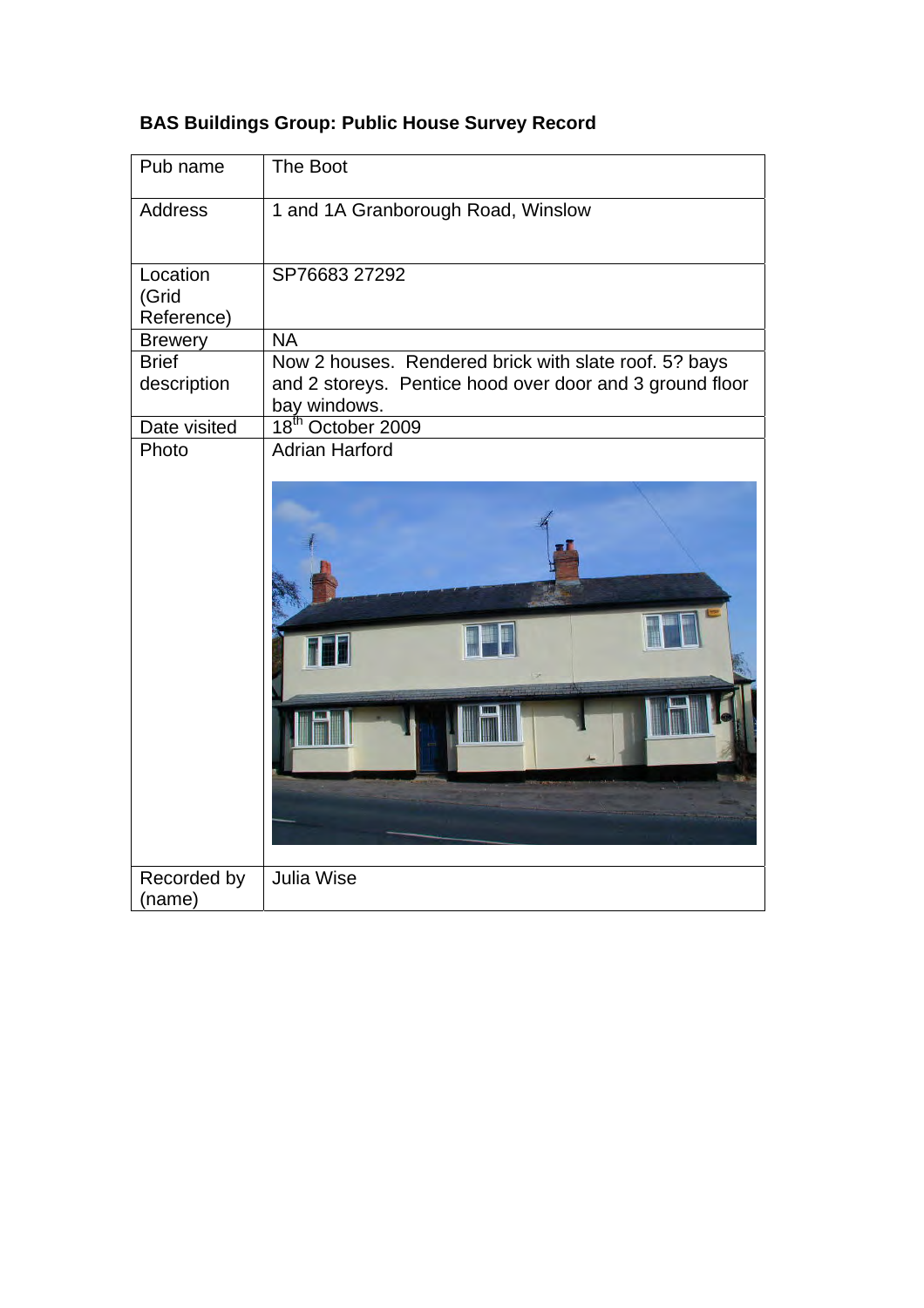|  |  |  | <b>BAS Buildings Group: Public House Survey Record</b> |  |
|--|--|--|--------------------------------------------------------|--|
|--|--|--|--------------------------------------------------------|--|

| Pub name                    | The Boot                                                                                                          |
|-----------------------------|-------------------------------------------------------------------------------------------------------------------|
| <b>Address</b>              | 1 and 1A Granborough Road, Winslow                                                                                |
| Location<br>(Grid           | SP76683 27292                                                                                                     |
| Reference)                  |                                                                                                                   |
| <b>Brewery</b>              | <b>NA</b>                                                                                                         |
| <b>Brief</b><br>description | Now 2 houses. Rendered brick with slate roof. 5? bays<br>and 2 storeys. Pentice hood over door and 3 ground floor |
|                             | bay windows.                                                                                                      |
| Date visited<br>Photo       | October 2009<br>18 <sup>th</sup><br><b>Adrian Harford</b>                                                         |
|                             |                                                                                                                   |
| Recorded by                 | <b>Julia Wise</b>                                                                                                 |
| (name)                      |                                                                                                                   |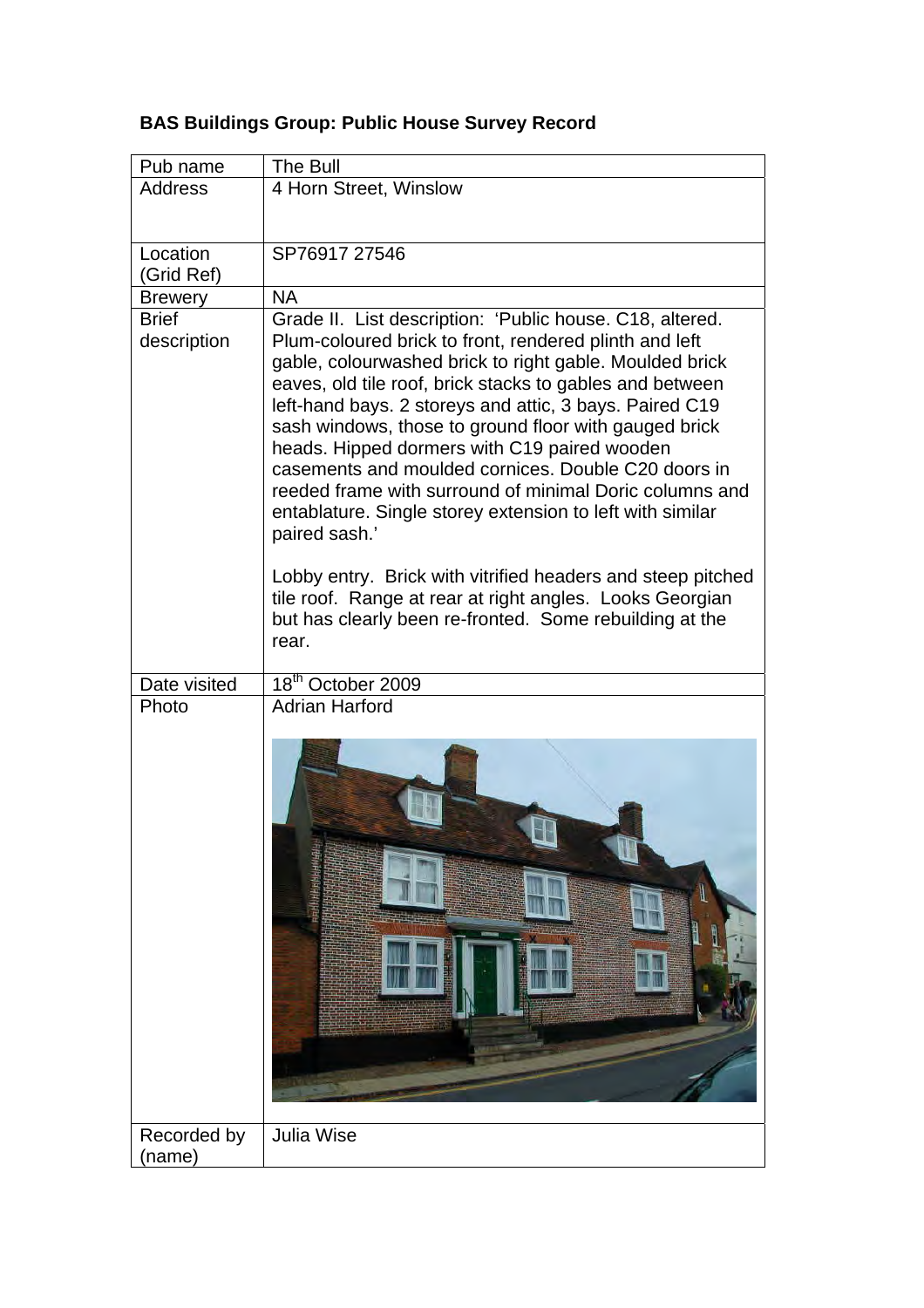| Pub name                    | The Bull                                                                                                                                                                                                                                                                                                                                                                                                                                                                                                                                                                                                      |
|-----------------------------|---------------------------------------------------------------------------------------------------------------------------------------------------------------------------------------------------------------------------------------------------------------------------------------------------------------------------------------------------------------------------------------------------------------------------------------------------------------------------------------------------------------------------------------------------------------------------------------------------------------|
| <b>Address</b>              | 4 Horn Street, Winslow                                                                                                                                                                                                                                                                                                                                                                                                                                                                                                                                                                                        |
| Location<br>(Grid Ref)      | SP76917 27546                                                                                                                                                                                                                                                                                                                                                                                                                                                                                                                                                                                                 |
| <b>Brewery</b>              | <b>NA</b>                                                                                                                                                                                                                                                                                                                                                                                                                                                                                                                                                                                                     |
| <b>Brief</b><br>description | Grade II. List description: 'Public house. C18, altered.<br>Plum-coloured brick to front, rendered plinth and left<br>gable, colourwashed brick to right gable. Moulded brick<br>eaves, old tile roof, brick stacks to gables and between<br>left-hand bays. 2 storeys and attic, 3 bays. Paired C19<br>sash windows, those to ground floor with gauged brick<br>heads. Hipped dormers with C19 paired wooden<br>casements and moulded cornices. Double C20 doors in<br>reeded frame with surround of minimal Doric columns and<br>entablature. Single storey extension to left with similar<br>paired sash.' |
|                             | Lobby entry. Brick with vitrified headers and steep pitched<br>tile roof. Range at rear at right angles. Looks Georgian<br>but has clearly been re-fronted. Some rebuilding at the<br>rear.                                                                                                                                                                                                                                                                                                                                                                                                                   |
| Date visited                | 18 <sup>th</sup> October 2009                                                                                                                                                                                                                                                                                                                                                                                                                                                                                                                                                                                 |
| Photo                       | <b>Adrian Harford</b>                                                                                                                                                                                                                                                                                                                                                                                                                                                                                                                                                                                         |
| Recorded by<br>(name)       | <b>Julia Wise</b>                                                                                                                                                                                                                                                                                                                                                                                                                                                                                                                                                                                             |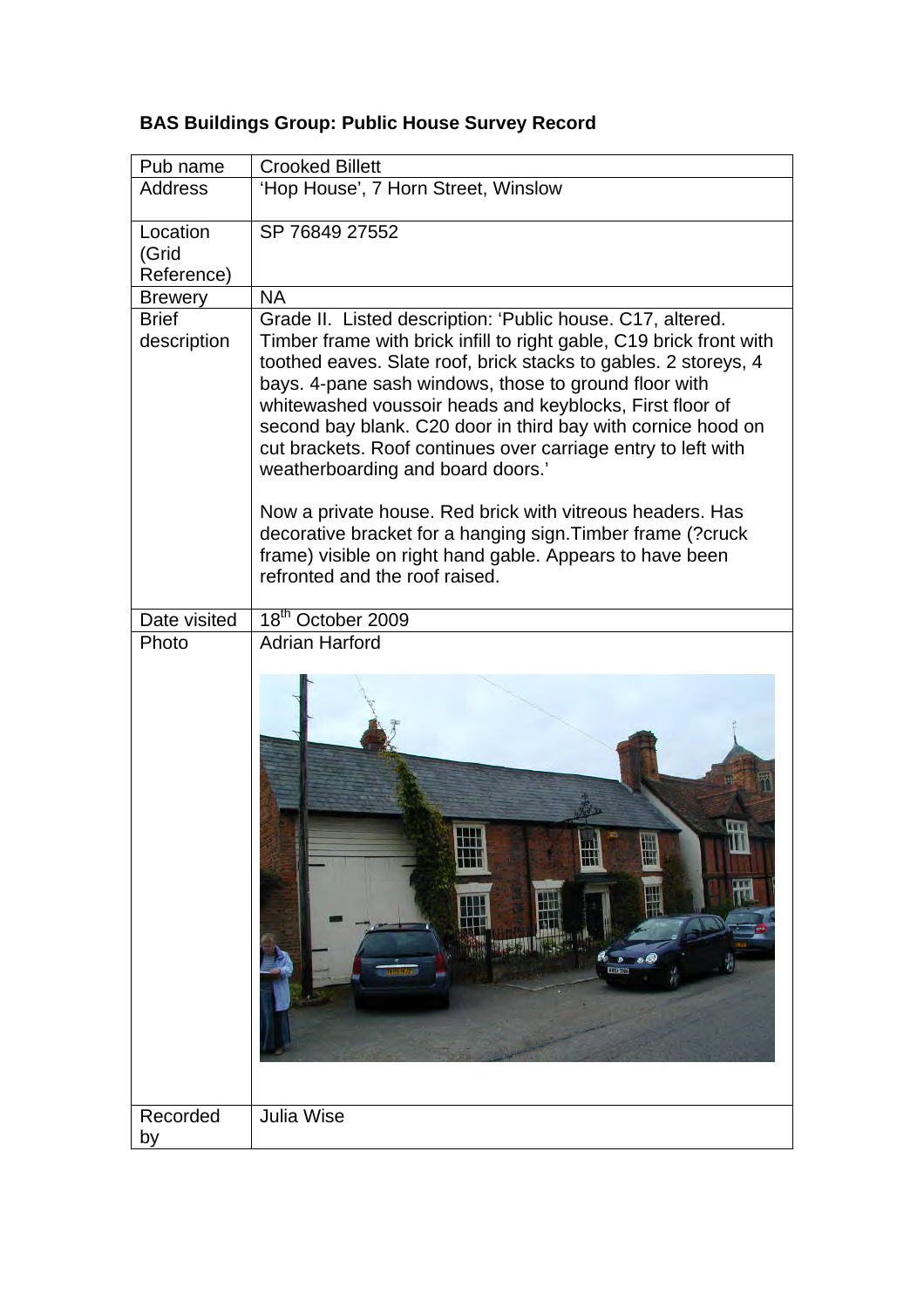| Pub name                     | <b>Crooked Billett</b>                                                                                                                                                                                                                                                                                                                                                                                                                                                                                                                                                                                                                                                                                                    |
|------------------------------|---------------------------------------------------------------------------------------------------------------------------------------------------------------------------------------------------------------------------------------------------------------------------------------------------------------------------------------------------------------------------------------------------------------------------------------------------------------------------------------------------------------------------------------------------------------------------------------------------------------------------------------------------------------------------------------------------------------------------|
| <b>Address</b>               | 'Hop House', 7 Horn Street, Winslow                                                                                                                                                                                                                                                                                                                                                                                                                                                                                                                                                                                                                                                                                       |
| Location<br>(Grid            | SP 76849 27552                                                                                                                                                                                                                                                                                                                                                                                                                                                                                                                                                                                                                                                                                                            |
| Reference)<br><b>Brewery</b> | <b>NA</b>                                                                                                                                                                                                                                                                                                                                                                                                                                                                                                                                                                                                                                                                                                                 |
| <b>Brief</b><br>description  | Grade II. Listed description: 'Public house. C17, altered.<br>Timber frame with brick infill to right gable, C19 brick front with<br>toothed eaves. Slate roof, brick stacks to gables. 2 storeys, 4<br>bays. 4-pane sash windows, those to ground floor with<br>whitewashed voussoir heads and keyblocks, First floor of<br>second bay blank. C20 door in third bay with cornice hood on<br>cut brackets. Roof continues over carriage entry to left with<br>weatherboarding and board doors.'<br>Now a private house. Red brick with vitreous headers. Has<br>decorative bracket for a hanging sign. Timber frame (?cruck<br>frame) visible on right hand gable. Appears to have been<br>refronted and the roof raised. |
| Date visited                 | 18 <sup>th</sup> October 2009                                                                                                                                                                                                                                                                                                                                                                                                                                                                                                                                                                                                                                                                                             |
| Photo                        | <b>Adrian Harford</b>                                                                                                                                                                                                                                                                                                                                                                                                                                                                                                                                                                                                                                                                                                     |
|                              | Ш<br>₩<br>ø6<br>$\mathcal{P}$<br>mann                                                                                                                                                                                                                                                                                                                                                                                                                                                                                                                                                                                                                                                                                     |
| Recorded<br>by               | <b>Julia Wise</b>                                                                                                                                                                                                                                                                                                                                                                                                                                                                                                                                                                                                                                                                                                         |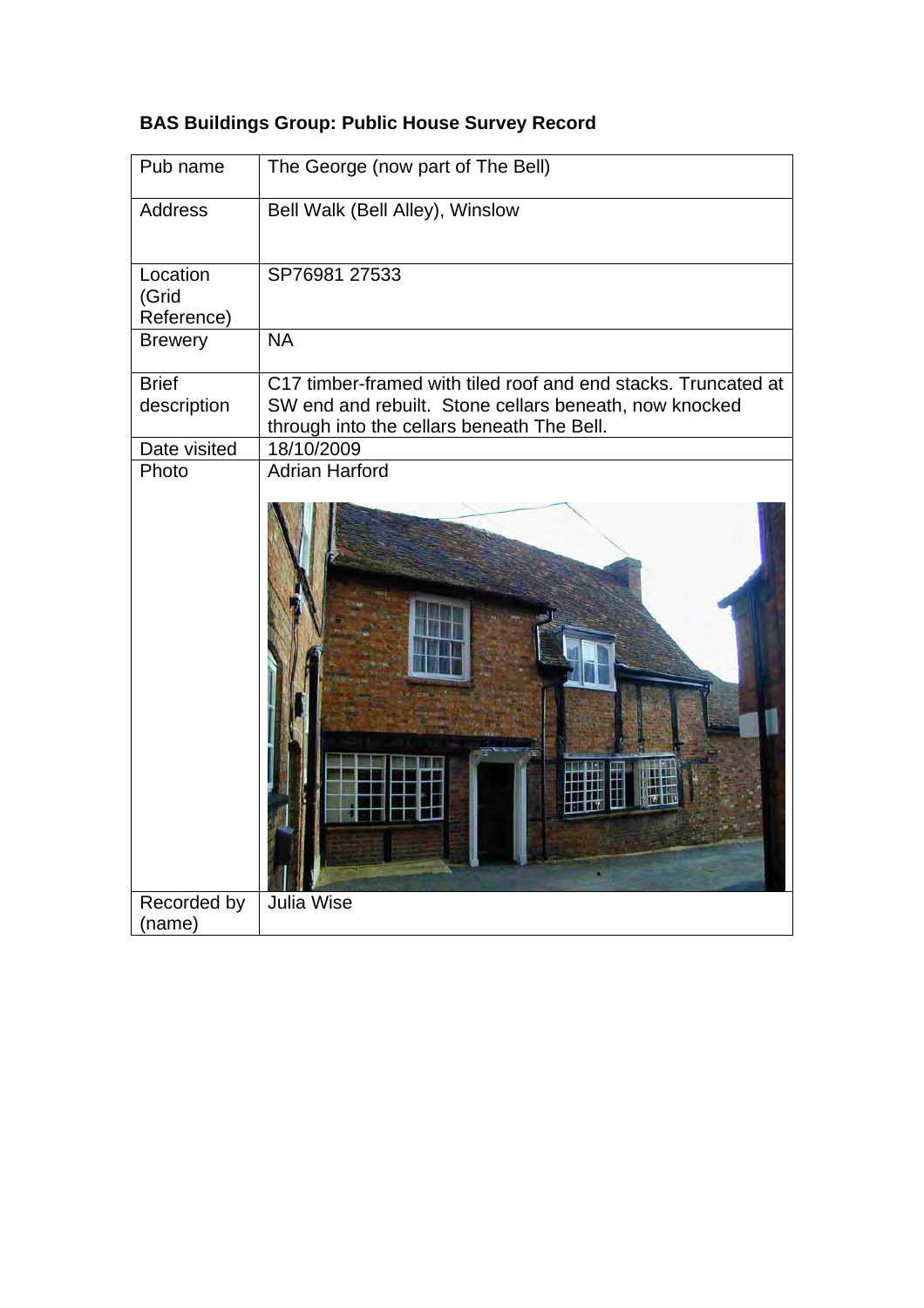| Pub name                        | The George (now part of The Bell)                                                                                                                                      |
|---------------------------------|------------------------------------------------------------------------------------------------------------------------------------------------------------------------|
| <b>Address</b>                  | Bell Walk (Bell Alley), Winslow                                                                                                                                        |
| Location<br>(Grid<br>Reference) | SP76981 27533                                                                                                                                                          |
| <b>Brewery</b>                  | <b>NA</b>                                                                                                                                                              |
| <b>Brief</b><br>description     | C17 timber-framed with tiled roof and end stacks. Truncated at<br>SW end and rebuilt. Stone cellars beneath, now knocked<br>through into the cellars beneath The Bell. |
| Date visited<br>Photo           | 18/10/2009<br><b>Adrian Harford</b>                                                                                                                                    |
|                                 |                                                                                                                                                                        |
| Recorded by                     | <b>Julia Wise</b>                                                                                                                                                      |
| (name)                          |                                                                                                                                                                        |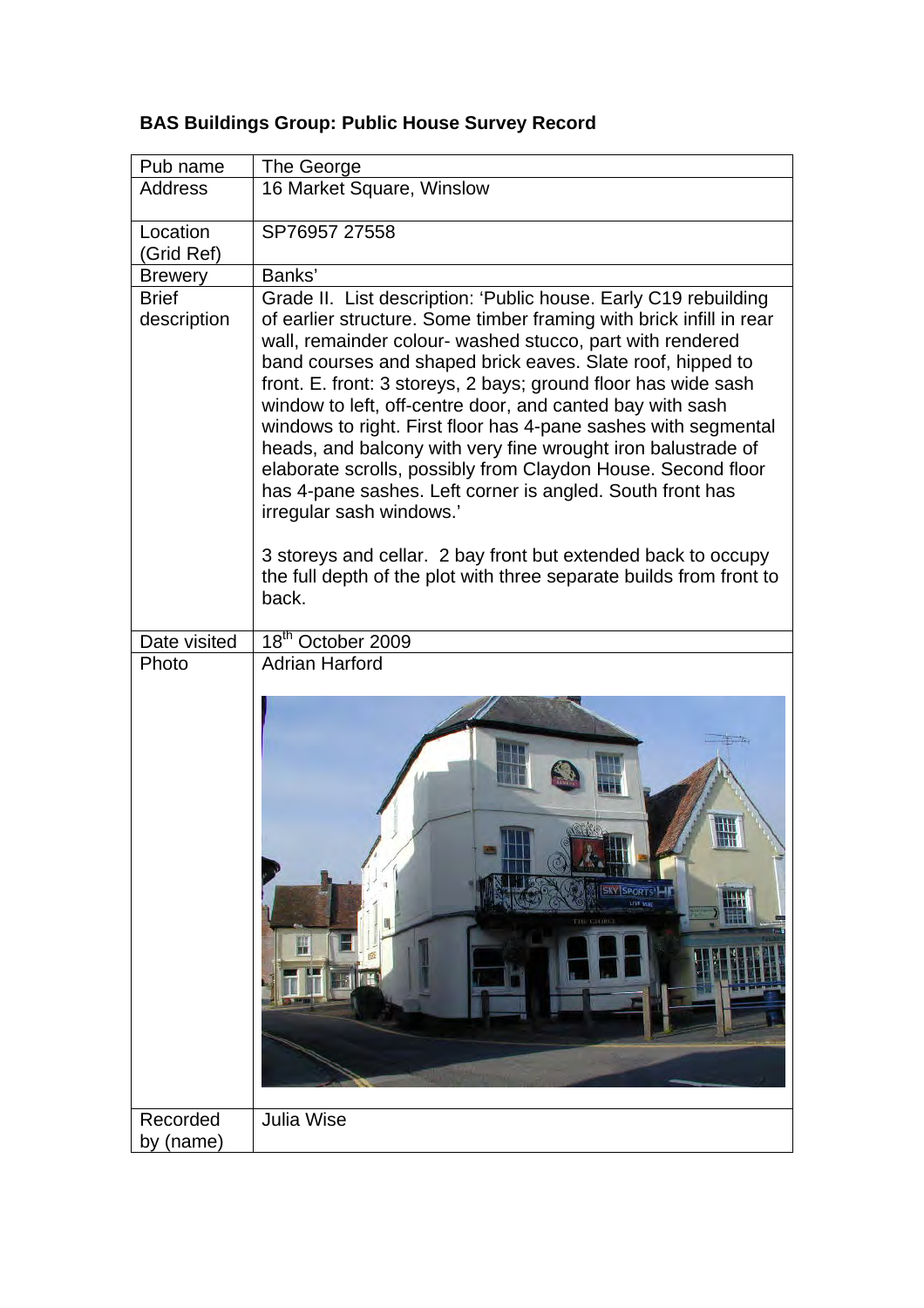| Pub name                    | The George                                                                                                                                                                                                                                                                                                                                                                                                                                                                                                                                                                                                                                                                                                                                                                                                                                   |
|-----------------------------|----------------------------------------------------------------------------------------------------------------------------------------------------------------------------------------------------------------------------------------------------------------------------------------------------------------------------------------------------------------------------------------------------------------------------------------------------------------------------------------------------------------------------------------------------------------------------------------------------------------------------------------------------------------------------------------------------------------------------------------------------------------------------------------------------------------------------------------------|
| <b>Address</b>              | 16 Market Square, Winslow                                                                                                                                                                                                                                                                                                                                                                                                                                                                                                                                                                                                                                                                                                                                                                                                                    |
| Location<br>(Grid Ref)      | SP76957 27558                                                                                                                                                                                                                                                                                                                                                                                                                                                                                                                                                                                                                                                                                                                                                                                                                                |
| <b>Brewery</b>              | Banks'                                                                                                                                                                                                                                                                                                                                                                                                                                                                                                                                                                                                                                                                                                                                                                                                                                       |
| <b>Brief</b><br>description | Grade II. List description: 'Public house. Early C19 rebuilding<br>of earlier structure. Some timber framing with brick infill in rear<br>wall, remainder colour- washed stucco, part with rendered<br>band courses and shaped brick eaves. Slate roof, hipped to<br>front. E. front: 3 storeys, 2 bays; ground floor has wide sash<br>window to left, off-centre door, and canted bay with sash<br>windows to right. First floor has 4-pane sashes with segmental<br>heads, and balcony with very fine wrought iron balustrade of<br>elaborate scrolls, possibly from Claydon House. Second floor<br>has 4-pane sashes. Left corner is angled. South front has<br>irregular sash windows.'<br>3 storeys and cellar. 2 bay front but extended back to occupy<br>the full depth of the plot with three separate builds from front to<br>back. |
| Date visited                | 18 <sup>th</sup> October 2009                                                                                                                                                                                                                                                                                                                                                                                                                                                                                                                                                                                                                                                                                                                                                                                                                |
| Photo                       | <b>Adrian Harford</b>                                                                                                                                                                                                                                                                                                                                                                                                                                                                                                                                                                                                                                                                                                                                                                                                                        |
|                             | SKY SPORTS<br>LIVE MR<br>THE GROBGE<br>нú                                                                                                                                                                                                                                                                                                                                                                                                                                                                                                                                                                                                                                                                                                                                                                                                    |
| Recorded<br>by (name)       | <b>Julia Wise</b>                                                                                                                                                                                                                                                                                                                                                                                                                                                                                                                                                                                                                                                                                                                                                                                                                            |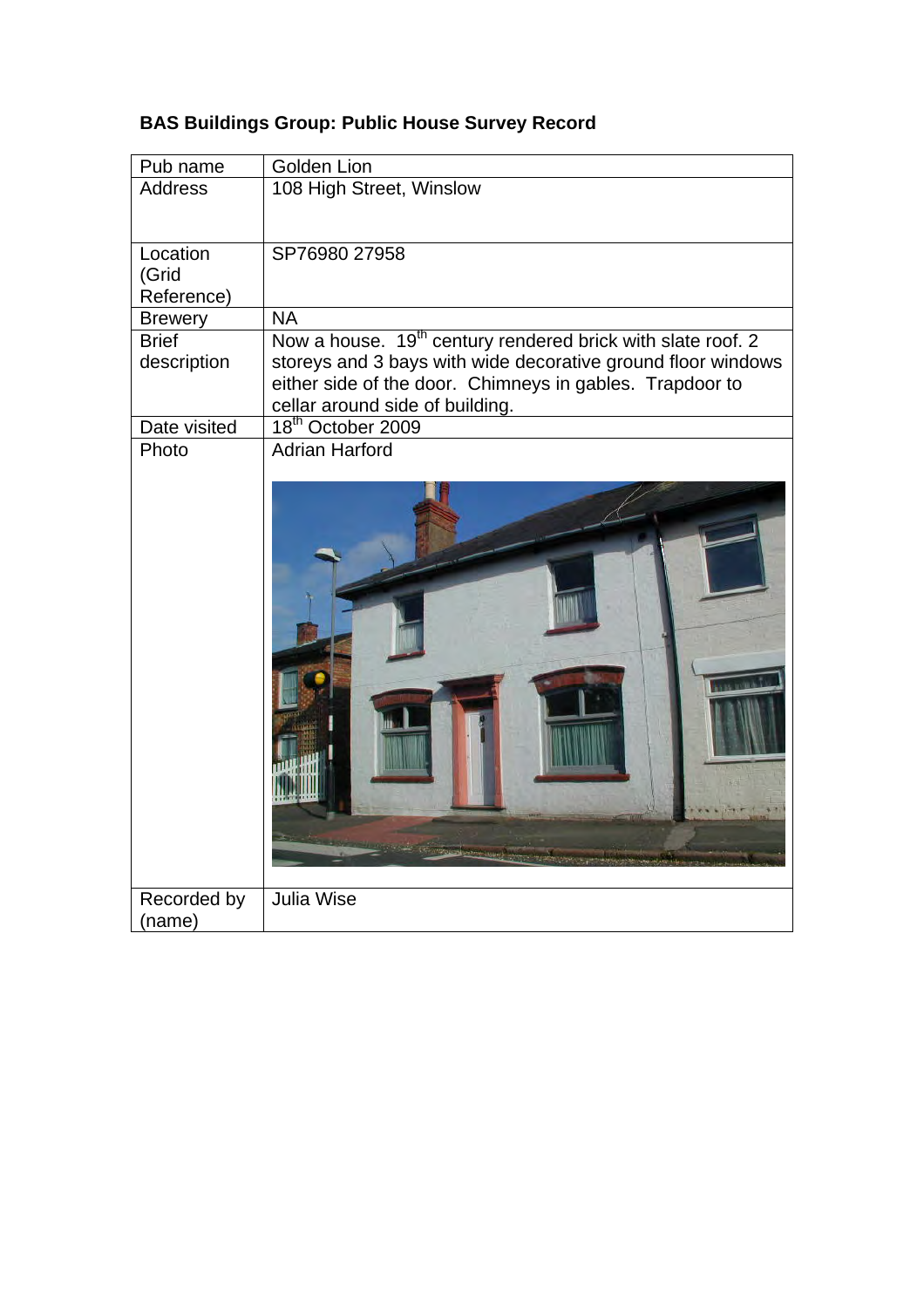| Pub name                       | Golden Lion                                                             |
|--------------------------------|-------------------------------------------------------------------------|
| <b>Address</b>                 | 108 High Street, Winslow                                                |
|                                |                                                                         |
| Location                       | SP76980 27958                                                           |
| (Grid                          |                                                                         |
| Reference)                     | <b>NA</b>                                                               |
| <b>Brewery</b><br><b>Brief</b> | Now a house. 19 <sup>th</sup> century rendered brick with slate roof. 2 |
| description                    | storeys and 3 bays with wide decorative ground floor windows            |
|                                | either side of the door. Chimneys in gables. Trapdoor to                |
|                                | cellar around side of building.                                         |
| Date visited                   | 18 <sup>th</sup> October 2009                                           |
| Photo                          | <b>Adrian Harford</b>                                                   |
|                                |                                                                         |
|                                |                                                                         |
| Recorded by<br>(name)          | <b>Julia Wise</b>                                                       |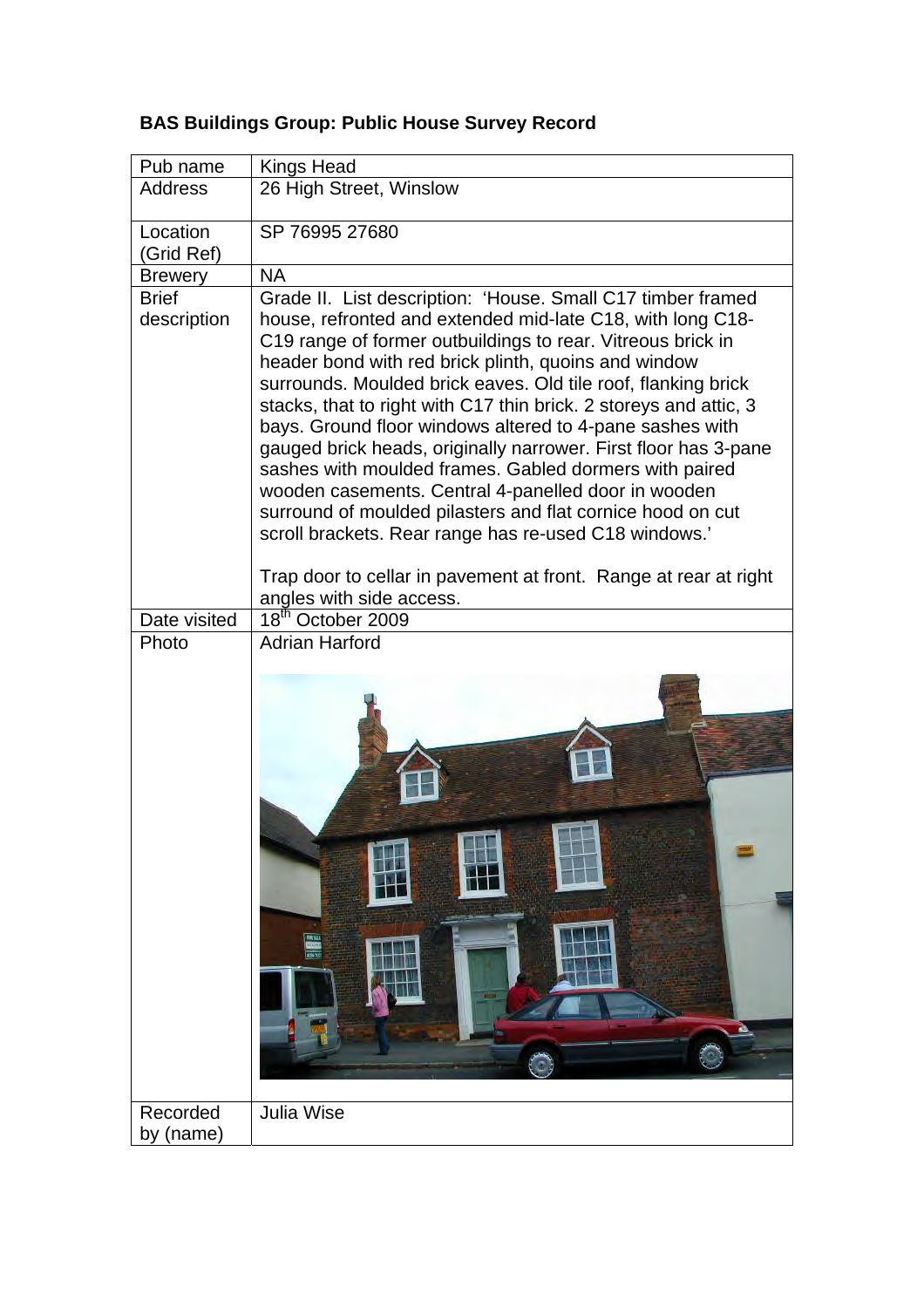| Pub name                    | <b>Kings Head</b>                                                                                                                                                                                                                                                                                                                                                                                                                                                                                                                                                                                                                                                                                                                                             |
|-----------------------------|---------------------------------------------------------------------------------------------------------------------------------------------------------------------------------------------------------------------------------------------------------------------------------------------------------------------------------------------------------------------------------------------------------------------------------------------------------------------------------------------------------------------------------------------------------------------------------------------------------------------------------------------------------------------------------------------------------------------------------------------------------------|
| <b>Address</b>              | 26 High Street, Winslow                                                                                                                                                                                                                                                                                                                                                                                                                                                                                                                                                                                                                                                                                                                                       |
| Location<br>(Grid Ref)      | SP 76995 27680                                                                                                                                                                                                                                                                                                                                                                                                                                                                                                                                                                                                                                                                                                                                                |
| <b>Brewery</b>              | <b>NA</b>                                                                                                                                                                                                                                                                                                                                                                                                                                                                                                                                                                                                                                                                                                                                                     |
| <b>Brief</b><br>description | Grade II. List description: 'House. Small C17 timber framed<br>house, refronted and extended mid-late C18, with long C18-<br>C19 range of former outbuildings to rear. Vitreous brick in<br>header bond with red brick plinth, quoins and window<br>surrounds. Moulded brick eaves. Old tile roof, flanking brick<br>stacks, that to right with C17 thin brick. 2 storeys and attic, 3<br>bays. Ground floor windows altered to 4-pane sashes with<br>gauged brick heads, originally narrower. First floor has 3-pane<br>sashes with moulded frames. Gabled dormers with paired<br>wooden casements. Central 4-panelled door in wooden<br>surround of moulded pilasters and flat cornice hood on cut<br>scroll brackets. Rear range has re-used C18 windows.' |
|                             | Trap door to cellar in pavement at front. Range at rear at right<br>angles with side access.                                                                                                                                                                                                                                                                                                                                                                                                                                                                                                                                                                                                                                                                  |
| Date visited                | 18 <sup>th</sup> October 2009                                                                                                                                                                                                                                                                                                                                                                                                                                                                                                                                                                                                                                                                                                                                 |
| Photo                       | <b>Adrian Harford</b>                                                                                                                                                                                                                                                                                                                                                                                                                                                                                                                                                                                                                                                                                                                                         |
| Recorded<br>by (name)       | <b>Julia Wise</b>                                                                                                                                                                                                                                                                                                                                                                                                                                                                                                                                                                                                                                                                                                                                             |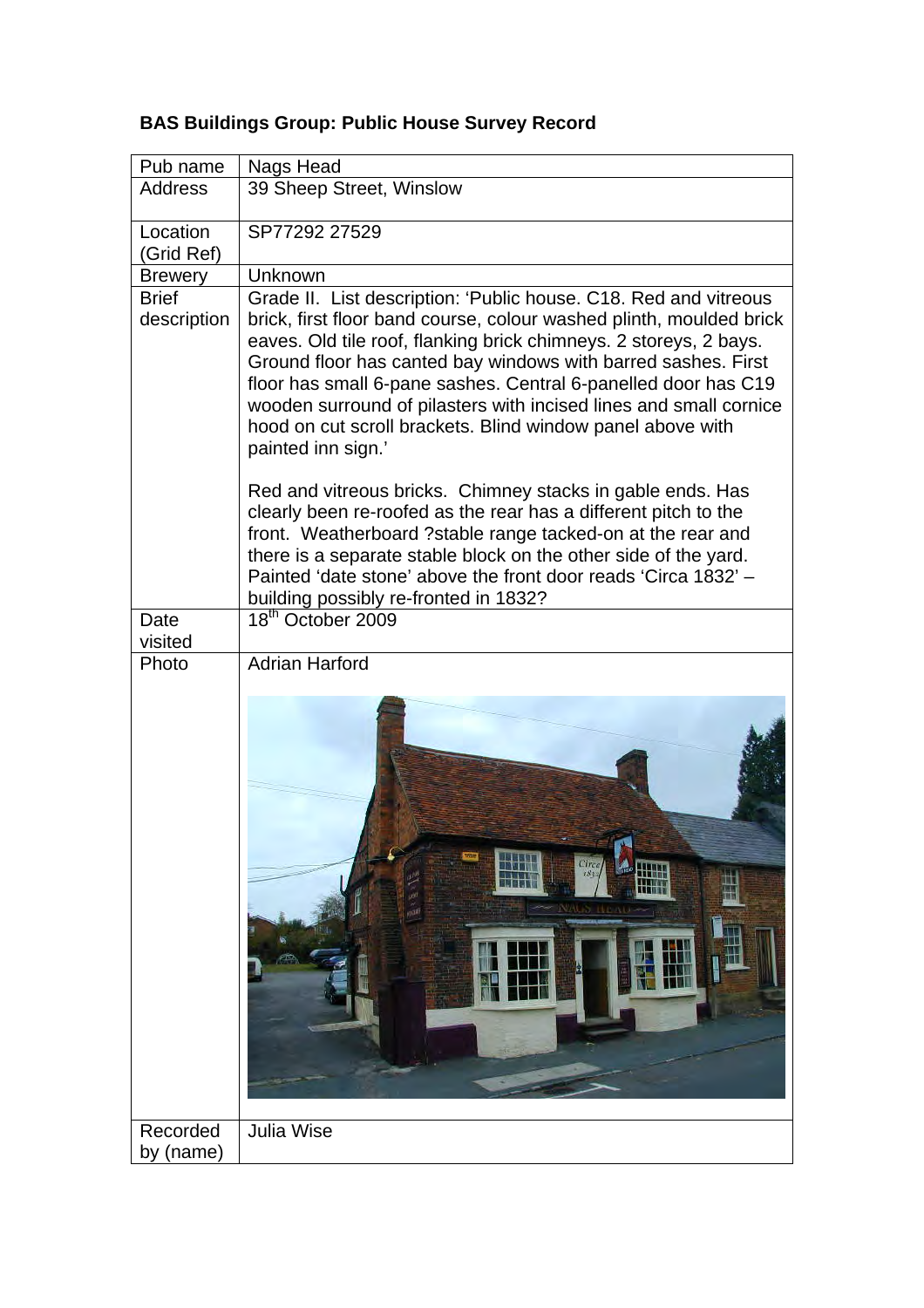| Pub name                    | Nags Head                                                                                                                                                                                                                                                                                                                                                                                                                                                                                                |
|-----------------------------|----------------------------------------------------------------------------------------------------------------------------------------------------------------------------------------------------------------------------------------------------------------------------------------------------------------------------------------------------------------------------------------------------------------------------------------------------------------------------------------------------------|
| Address                     | 39 Sheep Street, Winslow                                                                                                                                                                                                                                                                                                                                                                                                                                                                                 |
| Location<br>(Grid Ref)      | SP77292 27529                                                                                                                                                                                                                                                                                                                                                                                                                                                                                            |
| <b>Brewery</b>              | Unknown                                                                                                                                                                                                                                                                                                                                                                                                                                                                                                  |
| <b>Brief</b><br>description | Grade II. List description: 'Public house. C18. Red and vitreous<br>brick, first floor band course, colour washed plinth, moulded brick<br>eaves. Old tile roof, flanking brick chimneys. 2 storeys, 2 bays.<br>Ground floor has canted bay windows with barred sashes. First<br>floor has small 6-pane sashes. Central 6-panelled door has C19<br>wooden surround of pilasters with incised lines and small cornice<br>hood on cut scroll brackets. Blind window panel above with<br>painted inn sign.' |
|                             | Red and vitreous bricks. Chimney stacks in gable ends. Has<br>clearly been re-roofed as the rear has a different pitch to the<br>front. Weatherboard ?stable range tacked-on at the rear and<br>there is a separate stable block on the other side of the yard.<br>Painted 'date stone' above the front door reads 'Circa 1832' -<br>building possibly re-fronted in 1832?                                                                                                                               |
| Date<br>visited             | 18 <sup>th</sup> October 2009                                                                                                                                                                                                                                                                                                                                                                                                                                                                            |
| Photo                       | <b>Adrian Harford</b>                                                                                                                                                                                                                                                                                                                                                                                                                                                                                    |
|                             | $Cirea$ <sub>1832</sub>                                                                                                                                                                                                                                                                                                                                                                                                                                                                                  |
| Recorded<br>by (name)       | <b>Julia Wise</b>                                                                                                                                                                                                                                                                                                                                                                                                                                                                                        |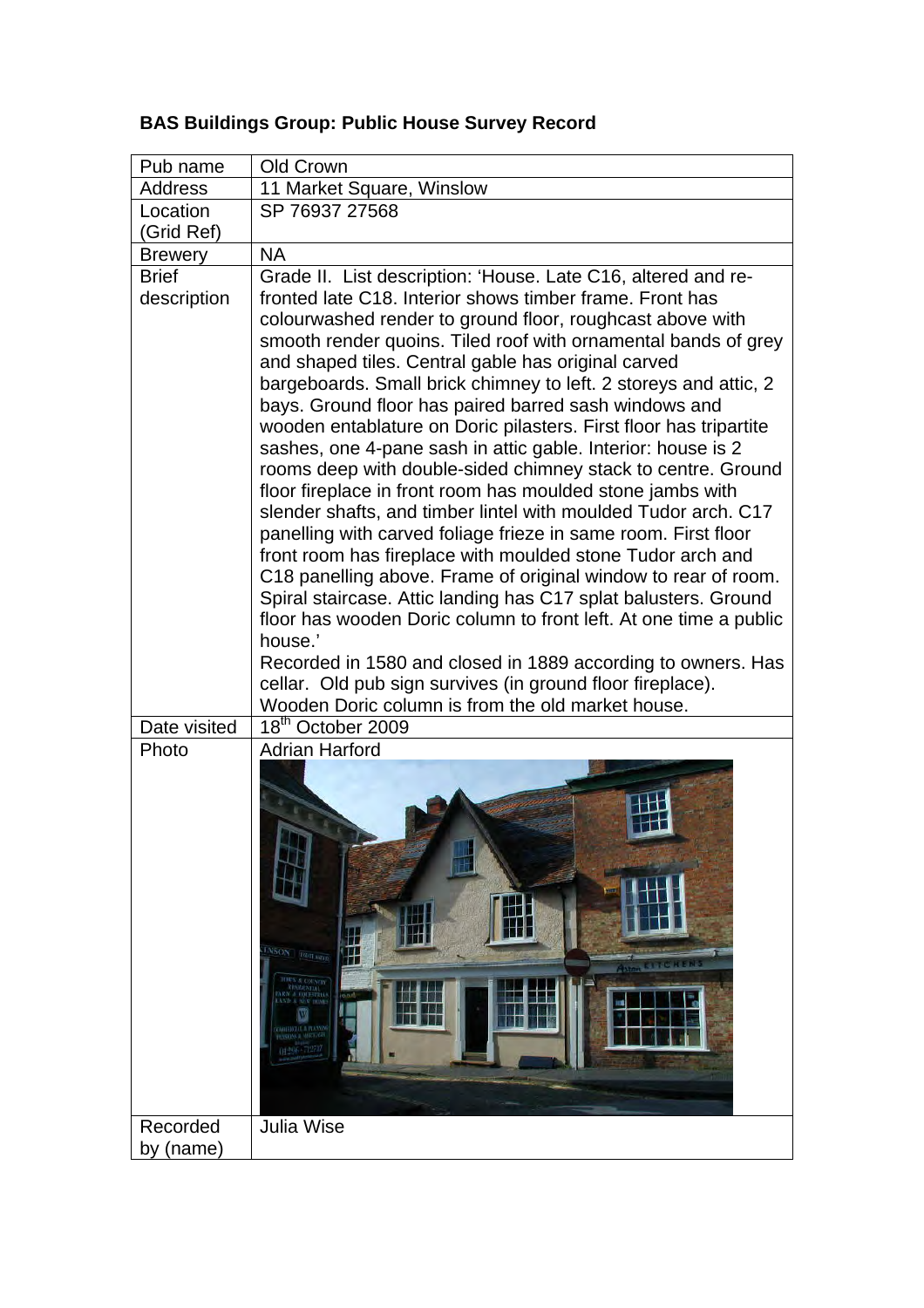| Pub name       | Old Crown                                                                                                                 |
|----------------|---------------------------------------------------------------------------------------------------------------------------|
| <b>Address</b> | 11 Market Square, Winslow                                                                                                 |
| Location       | SP 76937 27568                                                                                                            |
| (Grid Ref)     |                                                                                                                           |
| <b>Brewery</b> | <b>NA</b>                                                                                                                 |
| <b>Brief</b>   | Grade II. List description: 'House. Late C16, altered and re-                                                             |
| description    | fronted late C18. Interior shows timber frame. Front has                                                                  |
|                | colourwashed render to ground floor, roughcast above with                                                                 |
|                | smooth render quoins. Tiled roof with ornamental bands of grey                                                            |
|                | and shaped tiles. Central gable has original carved                                                                       |
|                | bargeboards. Small brick chimney to left. 2 storeys and attic, 2<br>bays. Ground floor has paired barred sash windows and |
|                | wooden entablature on Doric pilasters. First floor has tripartite                                                         |
|                | sashes, one 4-pane sash in attic gable. Interior: house is 2                                                              |
|                | rooms deep with double-sided chimney stack to centre. Ground                                                              |
|                | floor fireplace in front room has moulded stone jambs with                                                                |
|                | slender shafts, and timber lintel with moulded Tudor arch. C17                                                            |
|                | panelling with carved foliage frieze in same room. First floor                                                            |
|                | front room has fireplace with moulded stone Tudor arch and                                                                |
|                | C18 panelling above. Frame of original window to rear of room.                                                            |
|                | Spiral staircase. Attic landing has C17 splat balusters. Ground                                                           |
|                | floor has wooden Doric column to front left. At one time a public<br>house.'                                              |
|                | Recorded in 1580 and closed in 1889 according to owners. Has                                                              |
|                | cellar. Old pub sign survives (in ground floor fireplace).                                                                |
|                | Wooden Doric column is from the old market house.                                                                         |
| Date visited   | $18th$ October 2009                                                                                                       |
| Photo          | <b>Adrian Harford</b>                                                                                                     |
|                |                                                                                                                           |
|                |                                                                                                                           |
|                |                                                                                                                           |
|                |                                                                                                                           |
|                |                                                                                                                           |
|                |                                                                                                                           |
|                |                                                                                                                           |
|                |                                                                                                                           |
|                | <b>NSON EQUILIBRAN</b><br>Æ                                                                                               |
|                | <b>Aster STACKENS</b><br><b>THES &amp; COUNTRY</b>                                                                        |
|                | RESIDENTIAL<br>(OO)<br>AND A NEW HOME                                                                                     |
|                | <b>CONTENTAL A PLANT</b>                                                                                                  |
|                | <b><i>REASKINS &amp; MORTHAGE</i></b><br>(11296 - 1271)                                                                   |
|                |                                                                                                                           |
|                |                                                                                                                           |
|                |                                                                                                                           |
| Recorded       | <b>Julia Wise</b>                                                                                                         |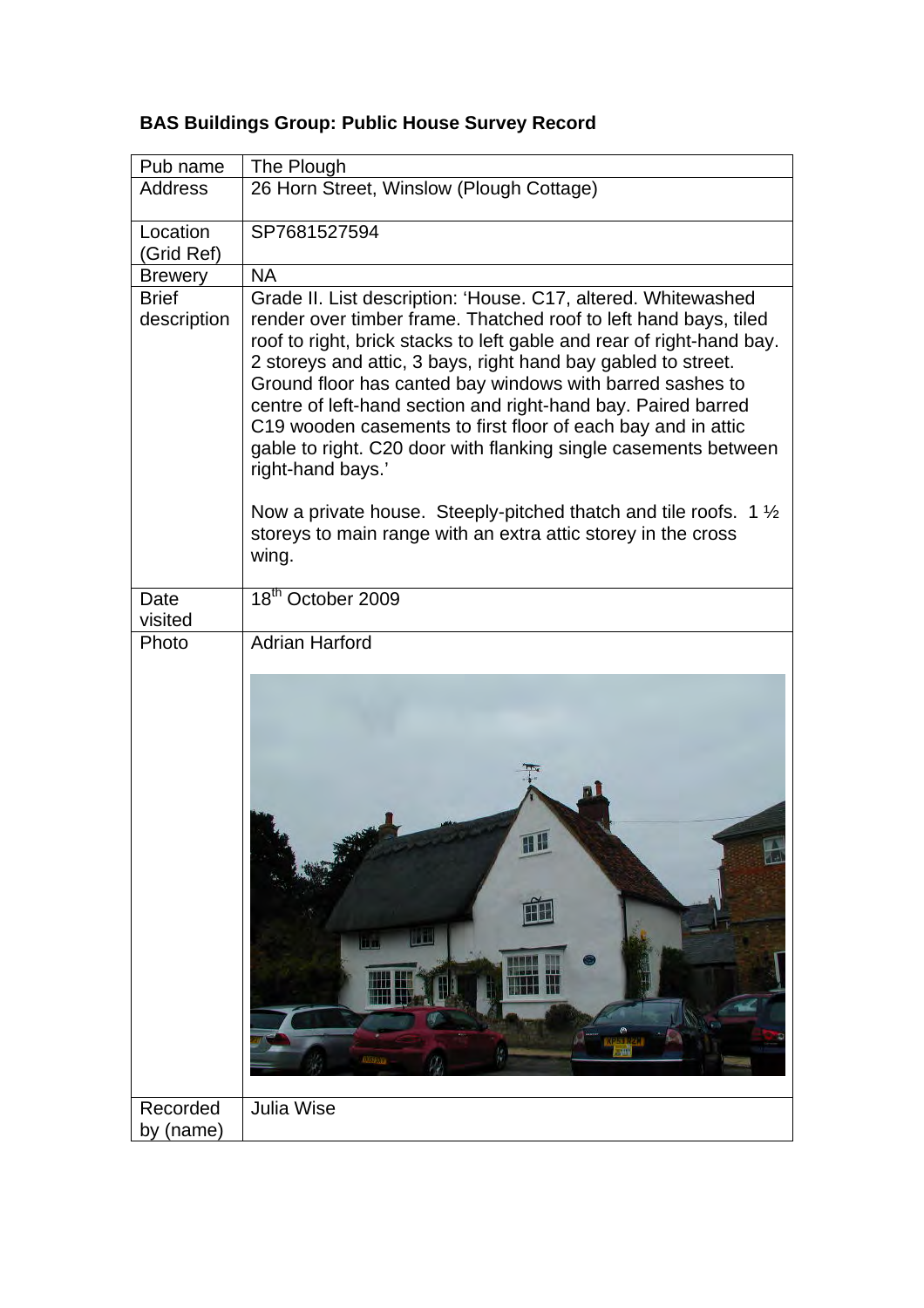| Pub name                    | The Plough                                                                                                                                                                                                                                                                                                                                                                                                                                                                                                                                                                                                                                                                                                                 |
|-----------------------------|----------------------------------------------------------------------------------------------------------------------------------------------------------------------------------------------------------------------------------------------------------------------------------------------------------------------------------------------------------------------------------------------------------------------------------------------------------------------------------------------------------------------------------------------------------------------------------------------------------------------------------------------------------------------------------------------------------------------------|
| <b>Address</b>              | 26 Horn Street, Winslow (Plough Cottage)                                                                                                                                                                                                                                                                                                                                                                                                                                                                                                                                                                                                                                                                                   |
| Location<br>(Grid Ref)      | SP7681527594                                                                                                                                                                                                                                                                                                                                                                                                                                                                                                                                                                                                                                                                                                               |
| <b>Brewery</b>              | <b>NA</b>                                                                                                                                                                                                                                                                                                                                                                                                                                                                                                                                                                                                                                                                                                                  |
| <b>Brief</b><br>description | Grade II. List description: 'House. C17, altered. Whitewashed<br>render over timber frame. Thatched roof to left hand bays, tiled<br>roof to right, brick stacks to left gable and rear of right-hand bay.<br>2 storeys and attic, 3 bays, right hand bay gabled to street.<br>Ground floor has canted bay windows with barred sashes to<br>centre of left-hand section and right-hand bay. Paired barred<br>C19 wooden casements to first floor of each bay and in attic<br>gable to right. C20 door with flanking single casements between<br>right-hand bays.'<br>Now a private house. Steeply-pitched thatch and tile roofs. 1 $\frac{1}{2}$<br>storeys to main range with an extra attic storey in the cross<br>wing. |
| Date<br>visited             | 18 <sup>th</sup> October 2009                                                                                                                                                                                                                                                                                                                                                                                                                                                                                                                                                                                                                                                                                              |
| Photo                       | <b>Adrian Harford</b>                                                                                                                                                                                                                                                                                                                                                                                                                                                                                                                                                                                                                                                                                                      |
|                             | Æ<br>l T<br>0.05436                                                                                                                                                                                                                                                                                                                                                                                                                                                                                                                                                                                                                                                                                                        |
| Recorded<br>by (name)       | <b>Julia Wise</b>                                                                                                                                                                                                                                                                                                                                                                                                                                                                                                                                                                                                                                                                                                          |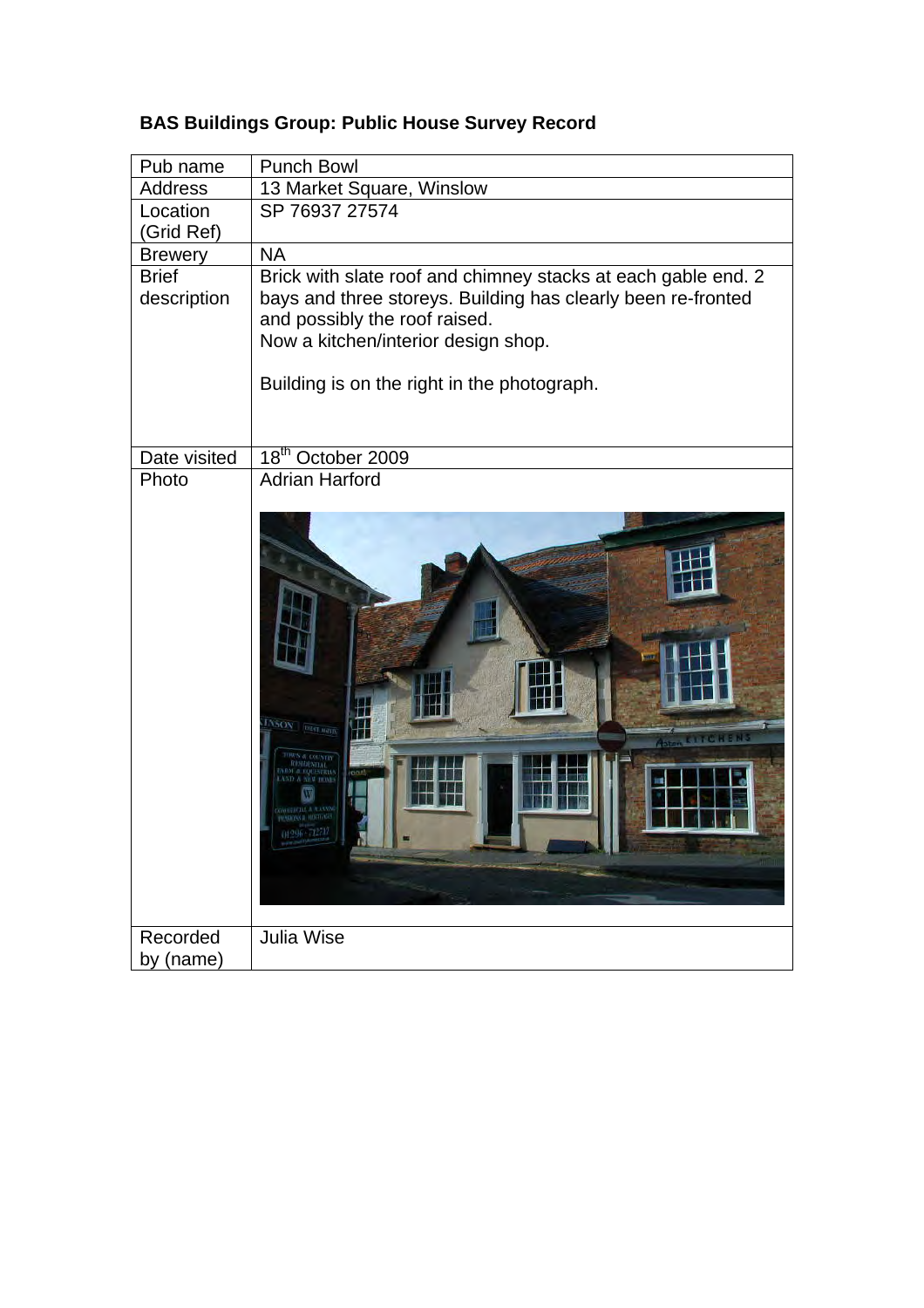| Pub name       | <b>Punch Bowl</b>                                                                             |
|----------------|-----------------------------------------------------------------------------------------------|
| <b>Address</b> | 13 Market Square, Winslow                                                                     |
| Location       | SP 76937 27574                                                                                |
| (Grid Ref)     |                                                                                               |
| <b>Brewery</b> | <b>NA</b>                                                                                     |
| <b>Brief</b>   | Brick with slate roof and chimney stacks at each gable end. 2                                 |
| description    | bays and three storeys. Building has clearly been re-fronted<br>and possibly the roof raised. |
|                | Now a kitchen/interior design shop.                                                           |
|                |                                                                                               |
|                | Building is on the right in the photograph.                                                   |
|                |                                                                                               |
|                |                                                                                               |
| Date visited   | 18 <sup>th</sup> October 2009                                                                 |
| Photo          | <b>Adrian Harford</b>                                                                         |
|                |                                                                                               |
|                |                                                                                               |
|                |                                                                                               |
|                |                                                                                               |
|                |                                                                                               |
|                |                                                                                               |
|                |                                                                                               |
|                |                                                                                               |
|                |                                                                                               |
|                | <b>INSON BEST MENT</b>                                                                        |
|                |                                                                                               |
|                |                                                                                               |
|                |                                                                                               |
|                |                                                                                               |
|                |                                                                                               |
|                |                                                                                               |
|                |                                                                                               |
|                |                                                                                               |
| Recorded       | Julia Wise                                                                                    |
| by (name)      |                                                                                               |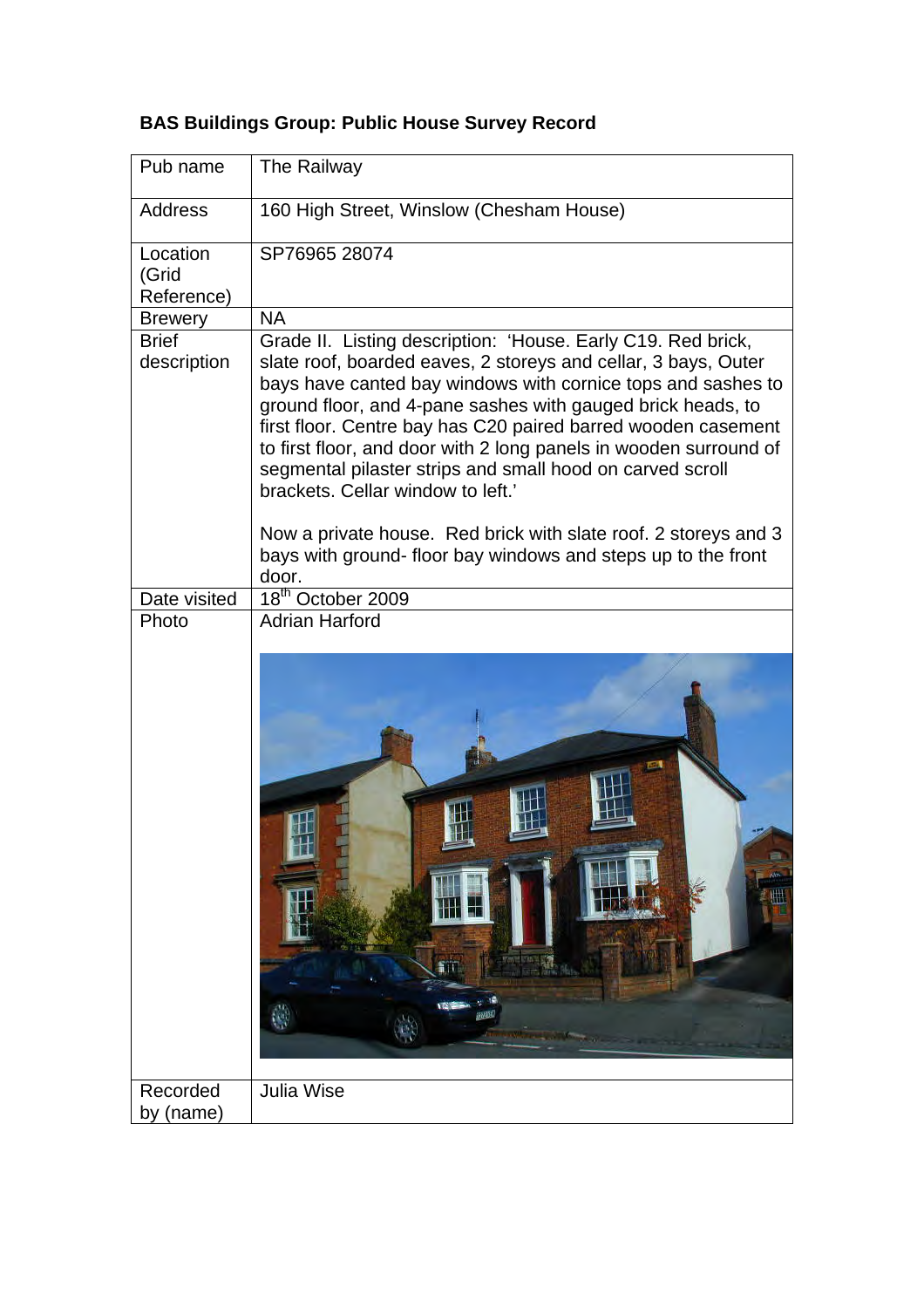| Pub name                        | The Railway                                                                                                                                                                                                                                                                                                                                                                                                                                                                                                                                                                                                                               |
|---------------------------------|-------------------------------------------------------------------------------------------------------------------------------------------------------------------------------------------------------------------------------------------------------------------------------------------------------------------------------------------------------------------------------------------------------------------------------------------------------------------------------------------------------------------------------------------------------------------------------------------------------------------------------------------|
| <b>Address</b>                  | 160 High Street, Winslow (Chesham House)                                                                                                                                                                                                                                                                                                                                                                                                                                                                                                                                                                                                  |
| Location<br>(Grid<br>Reference) | SP76965 28074                                                                                                                                                                                                                                                                                                                                                                                                                                                                                                                                                                                                                             |
| <b>Brewery</b>                  | <b>NA</b>                                                                                                                                                                                                                                                                                                                                                                                                                                                                                                                                                                                                                                 |
| <b>Brief</b><br>description     | Grade II. Listing description: 'House. Early C19. Red brick,<br>slate roof, boarded eaves, 2 storeys and cellar, 3 bays, Outer<br>bays have canted bay windows with cornice tops and sashes to<br>ground floor, and 4-pane sashes with gauged brick heads, to<br>first floor. Centre bay has C20 paired barred wooden casement<br>to first floor, and door with 2 long panels in wooden surround of<br>segmental pilaster strips and small hood on carved scroll<br>brackets. Cellar window to left.'<br>Now a private house. Red brick with slate roof. 2 storeys and 3<br>bays with ground- floor bay windows and steps up to the front |
|                                 | door.<br>18 <sup>th</sup> October 2009                                                                                                                                                                                                                                                                                                                                                                                                                                                                                                                                                                                                    |
| Date visited<br>Photo           | <b>Adrian Harford</b>                                                                                                                                                                                                                                                                                                                                                                                                                                                                                                                                                                                                                     |
|                                 | îΠ<br>植物<br>$\mathbf{e}_i$                                                                                                                                                                                                                                                                                                                                                                                                                                                                                                                                                                                                                |
| Recorded<br>by (name)           | <b>Julia Wise</b>                                                                                                                                                                                                                                                                                                                                                                                                                                                                                                                                                                                                                         |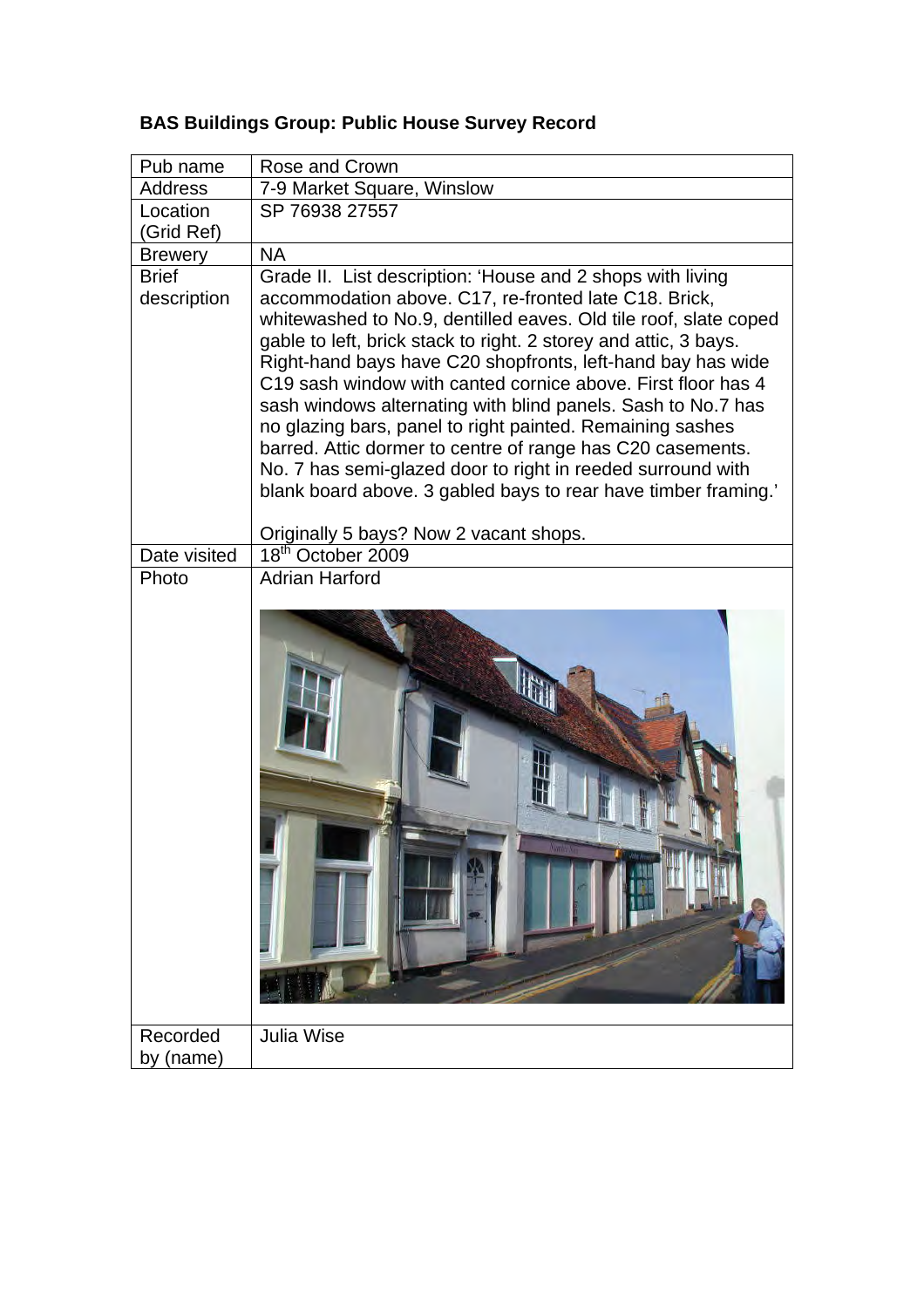| Pub name               | Rose and Crown                                                                                                               |
|------------------------|------------------------------------------------------------------------------------------------------------------------------|
| <b>Address</b>         | 7-9 Market Square, Winslow                                                                                                   |
| Location<br>(Grid Ref) | SP 76938 27557                                                                                                               |
| <b>Brewery</b>         | <b>NA</b>                                                                                                                    |
| <b>Brief</b>           | Grade II. List description: 'House and 2 shops with living                                                                   |
| description            | accommodation above. C17, re-fronted late C18. Brick,                                                                        |
|                        | whitewashed to No.9, dentilled eaves. Old tile roof, slate coped                                                             |
|                        | gable to left, brick stack to right. 2 storey and attic, 3 bays.                                                             |
|                        | Right-hand bays have C20 shopfronts, left-hand bay has wide                                                                  |
|                        | C19 sash window with canted cornice above. First floor has 4<br>sash windows alternating with blind panels. Sash to No.7 has |
|                        | no glazing bars, panel to right painted. Remaining sashes                                                                    |
|                        | barred. Attic dormer to centre of range has C20 casements.                                                                   |
|                        | No. 7 has semi-glazed door to right in reeded surround with                                                                  |
|                        | blank board above. 3 gabled bays to rear have timber framing.'                                                               |
|                        |                                                                                                                              |
| Date visited           | Originally 5 bays? Now 2 vacant shops.<br>$\overline{18}^{\text{th}}$ October 2009                                           |
| Photo                  | <b>Adrian Harford</b>                                                                                                        |
|                        |                                                                                                                              |
| Recorded<br>by (name)  | <b>Julia Wise</b>                                                                                                            |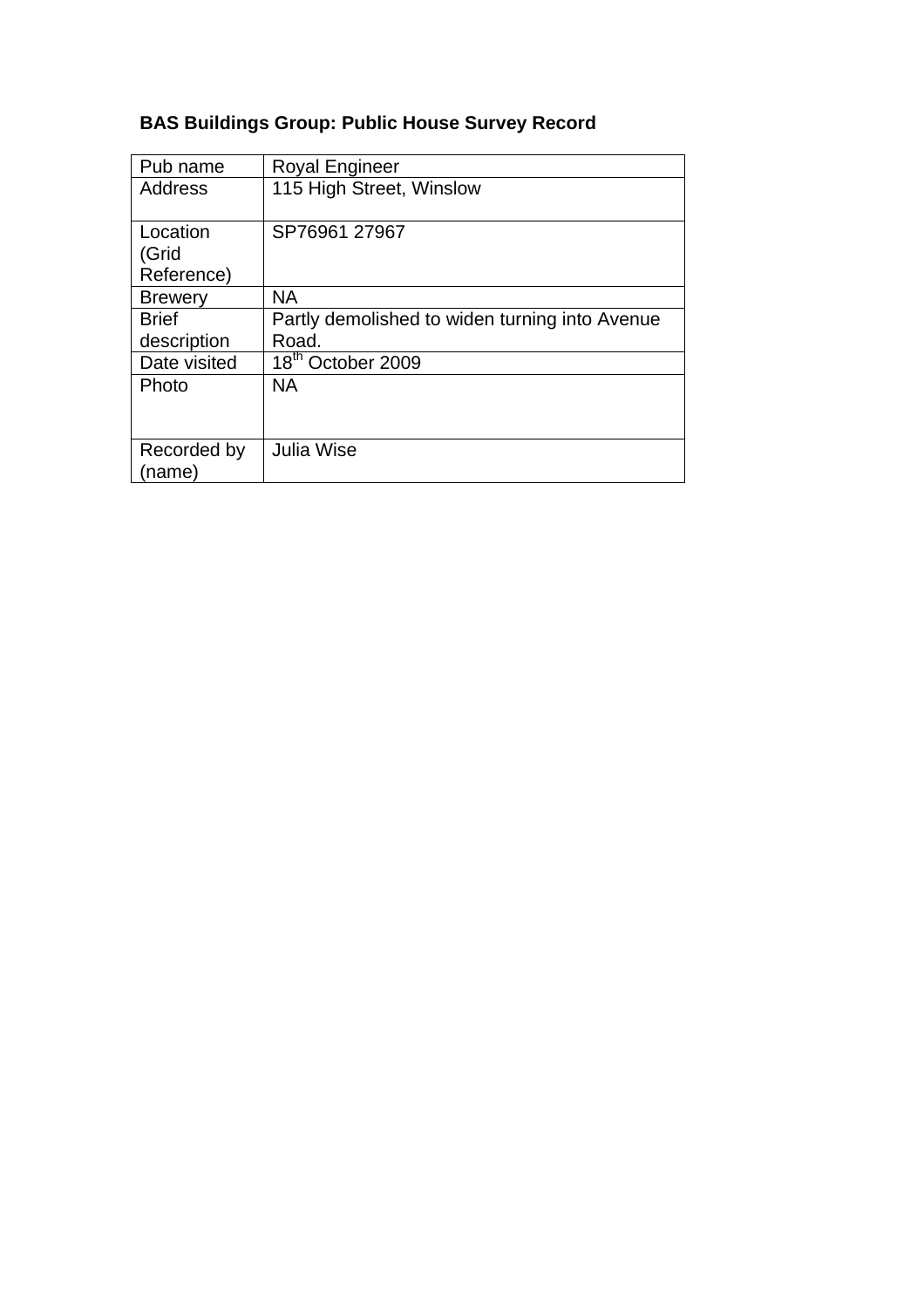| Pub name       | <b>Royal Engineer</b>                          |
|----------------|------------------------------------------------|
| <b>Address</b> | 115 High Street, Winslow                       |
|                |                                                |
| Location       | SP76961 27967                                  |
| (Grid          |                                                |
| Reference)     |                                                |
| <b>Brewery</b> | <b>NA</b>                                      |
| <b>Brief</b>   | Partly demolished to widen turning into Avenue |
| description    | Road.                                          |
| Date visited   | 18 <sup>th</sup> October 2009                  |
| Photo          | <b>NA</b>                                      |
|                |                                                |
|                |                                                |
| Recorded by    | Julia Wise                                     |
| (name)         |                                                |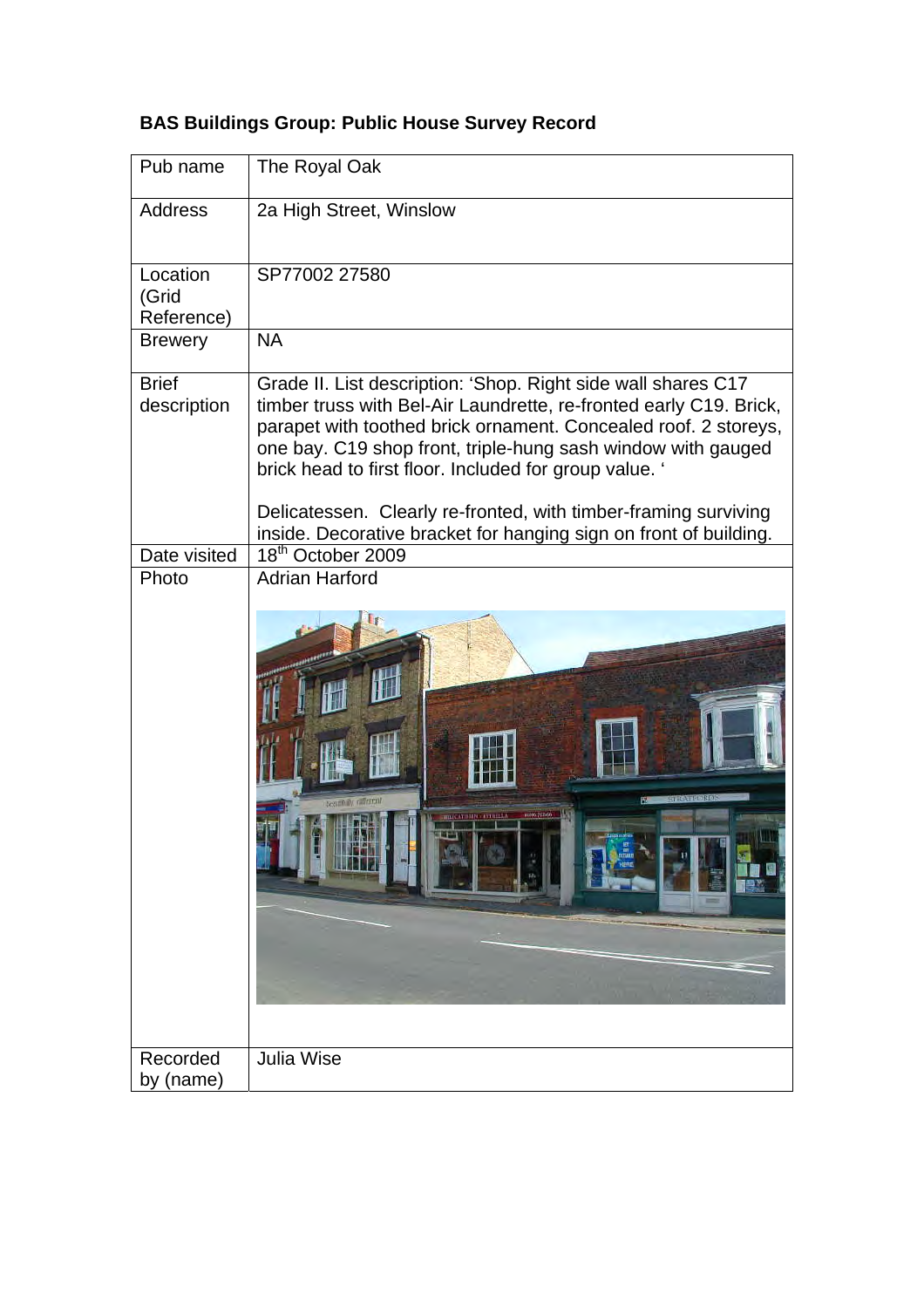| Pub name                        | The Royal Oak                                                                                                                                                                                                                                                                                                                                                                                                                                                            |
|---------------------------------|--------------------------------------------------------------------------------------------------------------------------------------------------------------------------------------------------------------------------------------------------------------------------------------------------------------------------------------------------------------------------------------------------------------------------------------------------------------------------|
| <b>Address</b>                  | 2a High Street, Winslow                                                                                                                                                                                                                                                                                                                                                                                                                                                  |
| Location<br>(Grid<br>Reference) | SP77002 27580                                                                                                                                                                                                                                                                                                                                                                                                                                                            |
| <b>Brewery</b>                  | <b>NA</b>                                                                                                                                                                                                                                                                                                                                                                                                                                                                |
| <b>Brief</b><br>description     | Grade II. List description: 'Shop. Right side wall shares C17<br>timber truss with Bel-Air Laundrette, re-fronted early C19. Brick,<br>parapet with toothed brick ornament. Concealed roof. 2 storeys,<br>one bay. C19 shop front, triple-hung sash window with gauged<br>brick head to first floor. Included for group value. '<br>Delicatessen. Clearly re-fronted, with timber-framing surviving<br>inside. Decorative bracket for hanging sign on front of building. |
| Date visited                    | 18 <sup>th</sup> October 2009                                                                                                                                                                                                                                                                                                                                                                                                                                            |
| Photo                           | <b>Adrian Harford</b><br>esuntiny ratherent                                                                                                                                                                                                                                                                                                                                                                                                                              |
| Recorded<br>by (name)           | <b>Julia Wise</b>                                                                                                                                                                                                                                                                                                                                                                                                                                                        |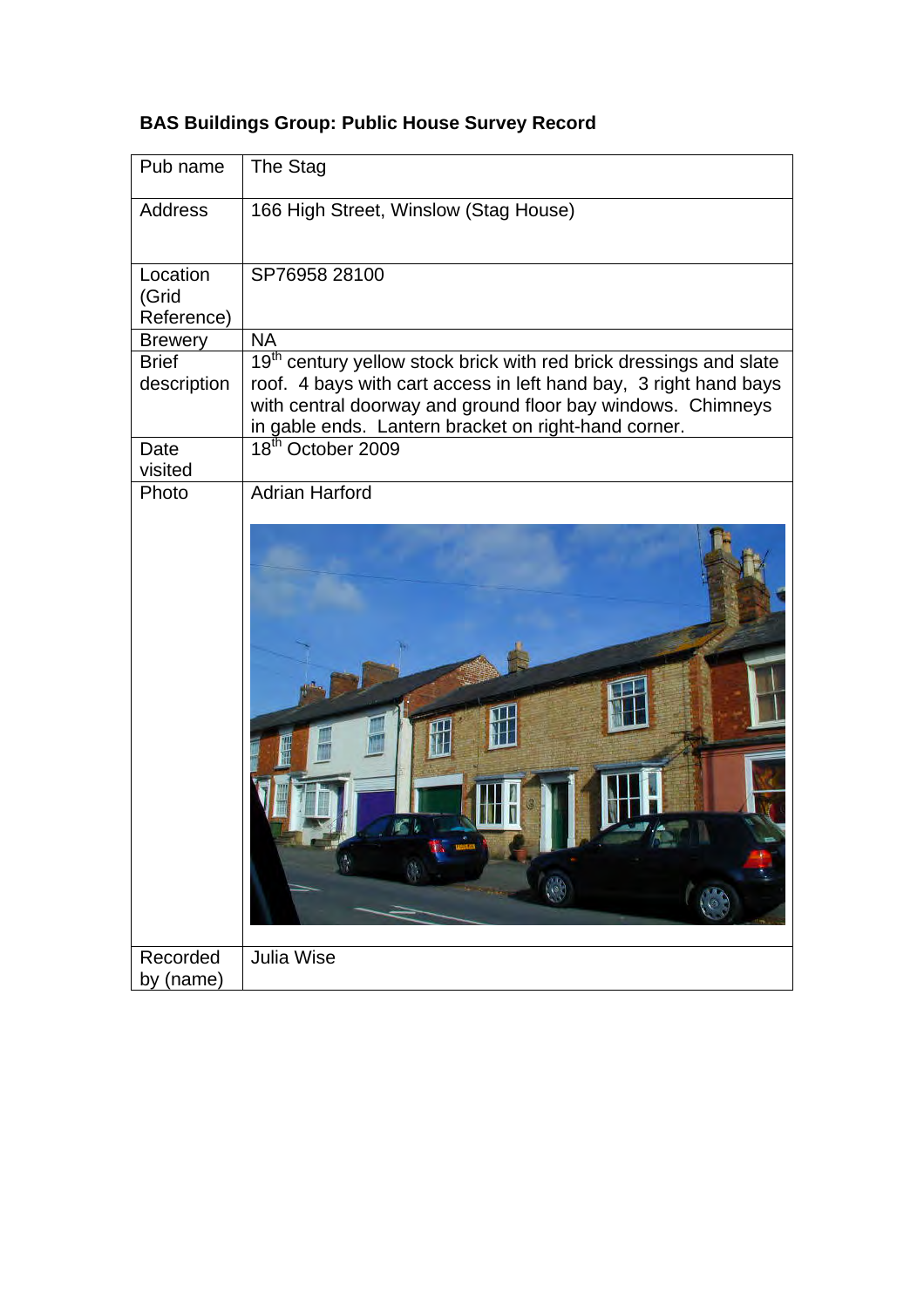| Pub name                        | The Stag                                                                                                                                                                                                                                                                   |
|---------------------------------|----------------------------------------------------------------------------------------------------------------------------------------------------------------------------------------------------------------------------------------------------------------------------|
| <b>Address</b>                  | 166 High Street, Winslow (Stag House)                                                                                                                                                                                                                                      |
| Location<br>(Grid<br>Reference) | SP76958 28100                                                                                                                                                                                                                                                              |
| <b>Brewery</b>                  | <b>NA</b>                                                                                                                                                                                                                                                                  |
| <b>Brief</b><br>description     | 19 <sup>th</sup> century yellow stock brick with red brick dressings and slate<br>roof. 4 bays with cart access in left hand bay, 3 right hand bays<br>with central doorway and ground floor bay windows. Chimneys<br>in gable ends. Lantern bracket on right-hand corner. |
| Date<br>visited                 | 18 <sup>th</sup> October 2009                                                                                                                                                                                                                                              |
| Photo                           | <b>Adrian Harford</b>                                                                                                                                                                                                                                                      |
| Recorded<br>by (name)           | Julia Wise                                                                                                                                                                                                                                                                 |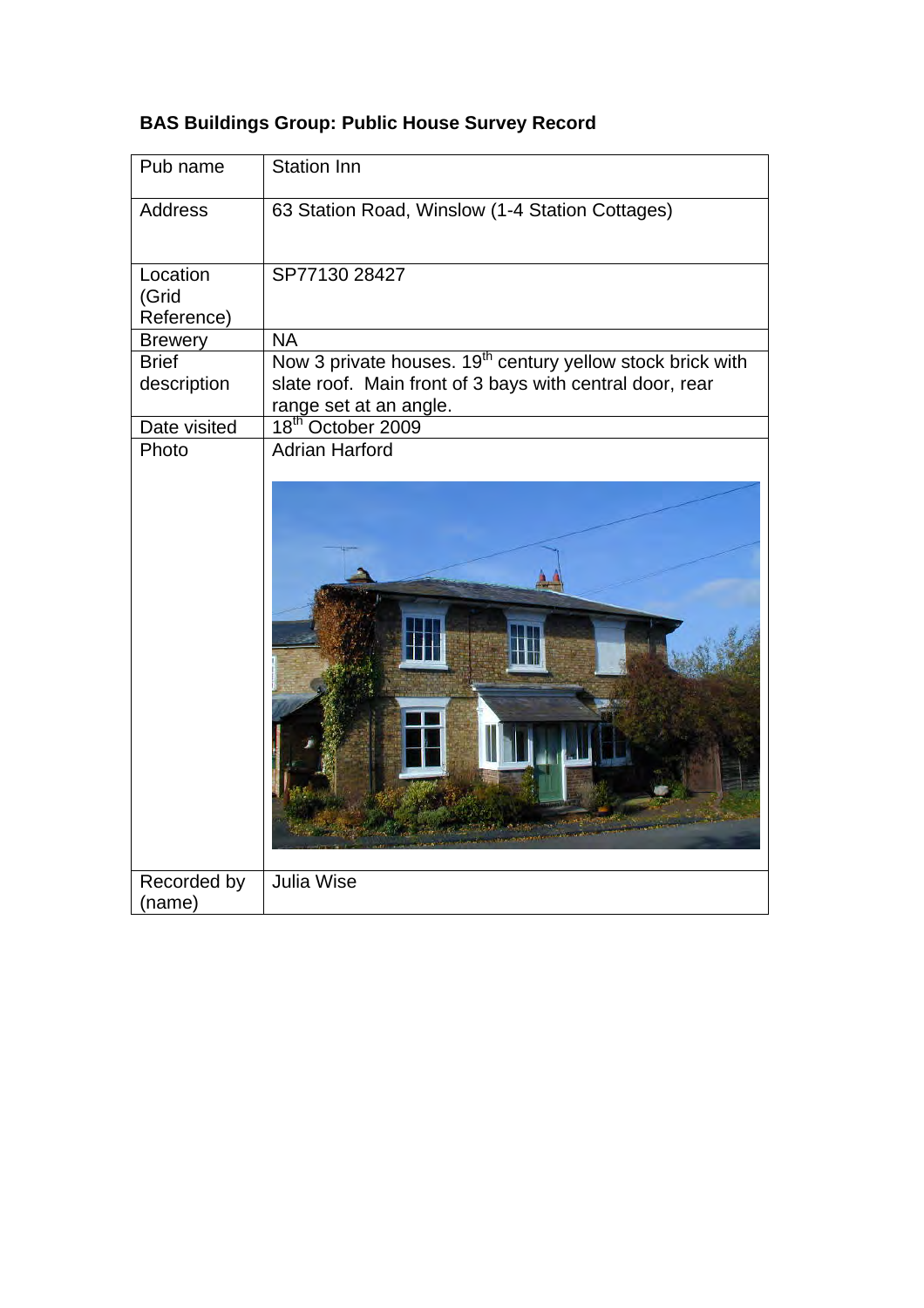| Pub name          | Station Inn                                                                        |
|-------------------|------------------------------------------------------------------------------------|
| <b>Address</b>    | 63 Station Road, Winslow (1-4 Station Cottages)                                    |
| Location<br>(Grid | SP77130 28427                                                                      |
| Reference)        |                                                                                    |
| <b>Brewery</b>    | <b>NA</b>                                                                          |
| <b>Brief</b>      | Now 3 private houses. 19 <sup>th</sup> century yellow stock brick with             |
| description       | slate roof. Main front of 3 bays with central door, rear<br>range set at an angle. |
| Date visited      | 18 <sup>th</sup> October 2009                                                      |
| Photo             | <b>Adrian Harford</b>                                                              |
|                   |                                                                                    |
| Recorded by       | <b>Julia Wise</b>                                                                  |
| (name)            |                                                                                    |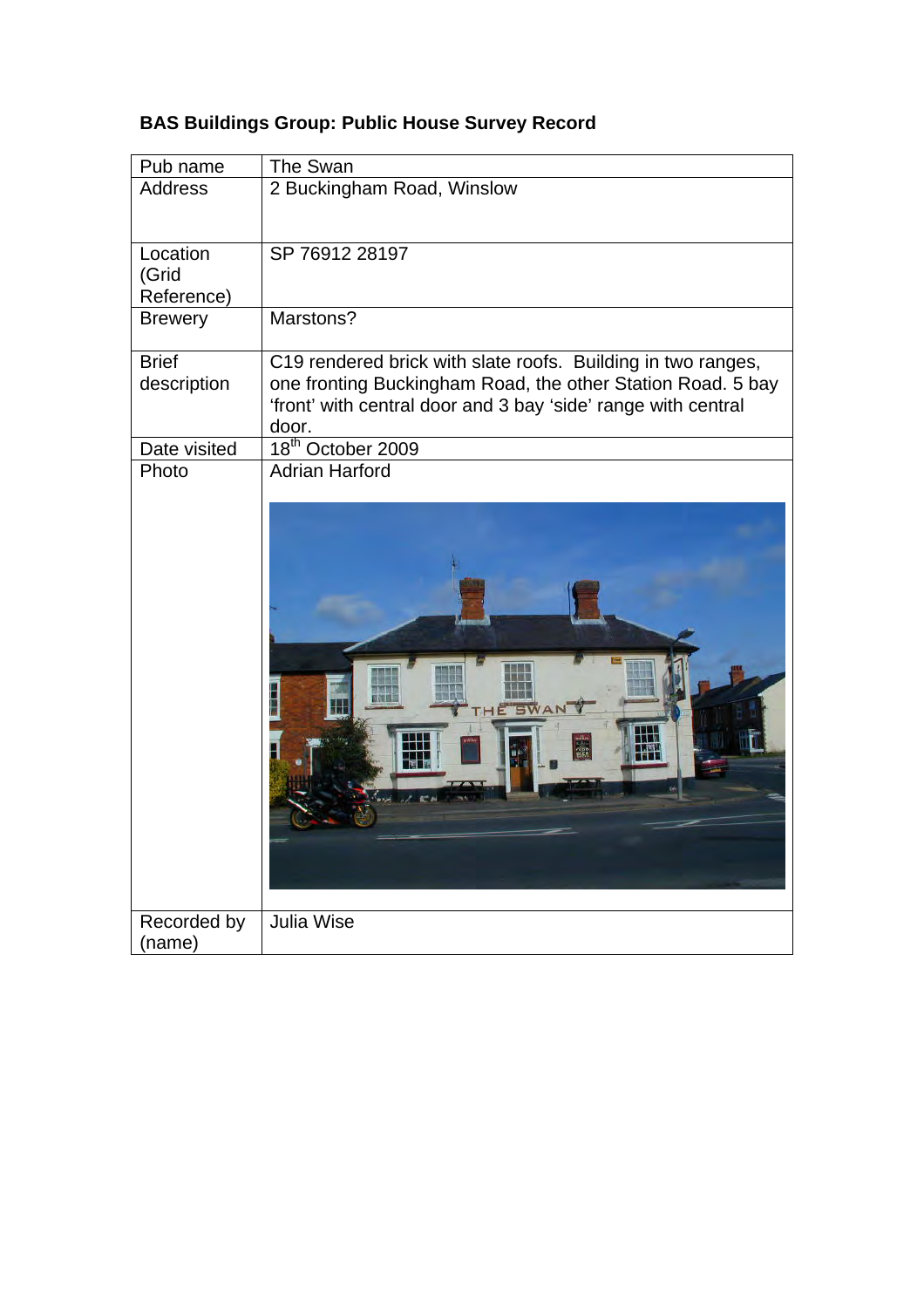| <b>Address</b><br>2 Buckingham Road, Winslow<br>Location<br>SP 76912 28197<br>(Grid<br>Reference)<br>Marstons?<br><b>Brewery</b><br><b>Brief</b><br>C19 rendered brick with slate roofs. Building in two ranges,<br>one fronting Buckingham Road, the other Station Road. 5 bay<br>description<br>'front' with central door and 3 bay 'side' range with central<br>door.<br>18 <sup>th</sup> October 2009<br>Date visited<br><b>Adrian Harford</b><br>Photo<br>SWA<br><b>Julia Wise</b><br>Recorded by<br>(name) | Pub name | The Swan |
|------------------------------------------------------------------------------------------------------------------------------------------------------------------------------------------------------------------------------------------------------------------------------------------------------------------------------------------------------------------------------------------------------------------------------------------------------------------------------------------------------------------|----------|----------|
|                                                                                                                                                                                                                                                                                                                                                                                                                                                                                                                  |          |          |
|                                                                                                                                                                                                                                                                                                                                                                                                                                                                                                                  |          |          |
|                                                                                                                                                                                                                                                                                                                                                                                                                                                                                                                  |          |          |
|                                                                                                                                                                                                                                                                                                                                                                                                                                                                                                                  |          |          |
|                                                                                                                                                                                                                                                                                                                                                                                                                                                                                                                  |          |          |
|                                                                                                                                                                                                                                                                                                                                                                                                                                                                                                                  |          |          |
|                                                                                                                                                                                                                                                                                                                                                                                                                                                                                                                  |          |          |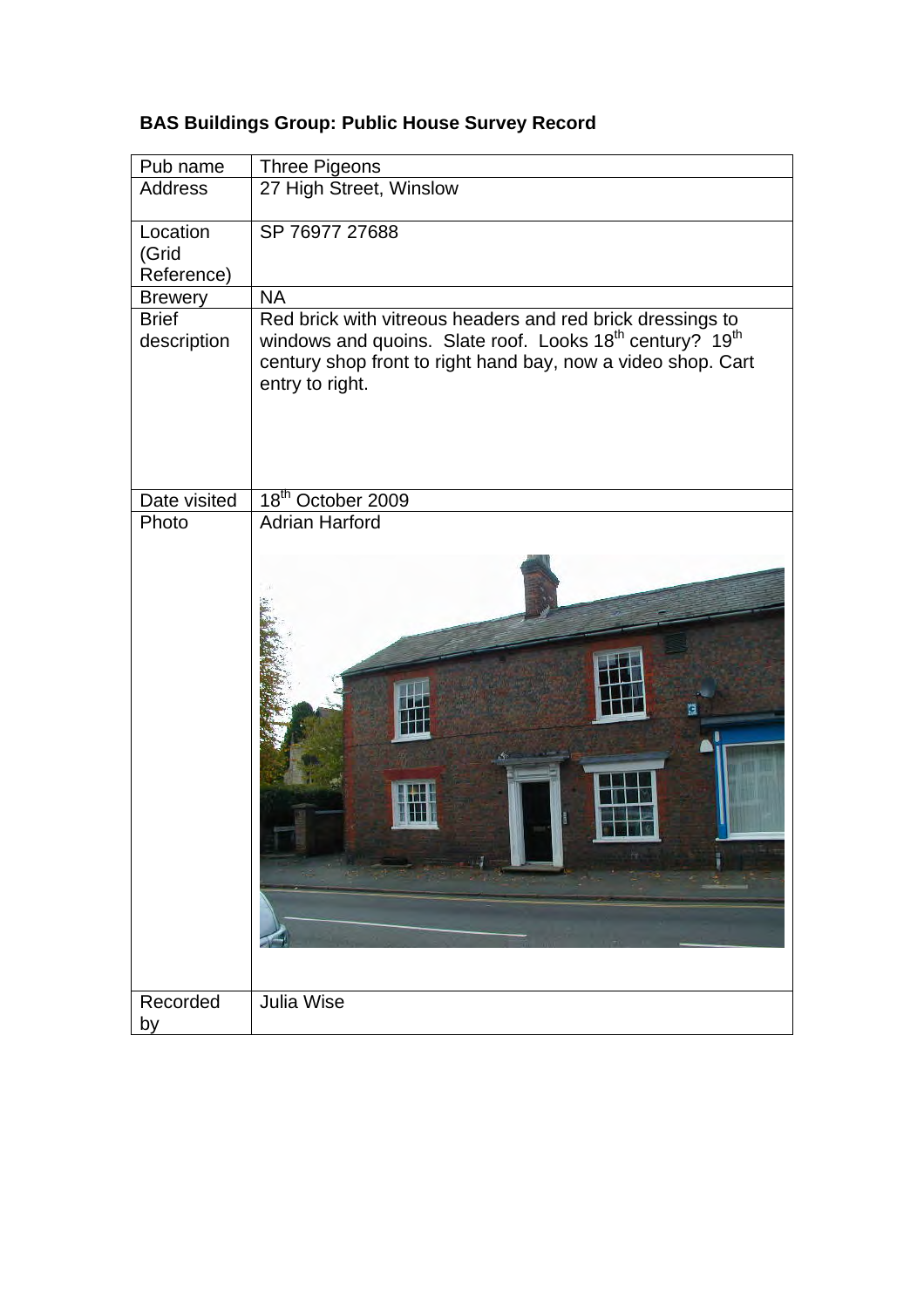| Pub name                        | <b>Three Pigeons</b>                                                                                                                                                                                                              |
|---------------------------------|-----------------------------------------------------------------------------------------------------------------------------------------------------------------------------------------------------------------------------------|
| <b>Address</b>                  | 27 High Street, Winslow                                                                                                                                                                                                           |
| Location<br>(Grid<br>Reference) | SP 76977 27688                                                                                                                                                                                                                    |
| <b>Brewery</b>                  | <b>NA</b>                                                                                                                                                                                                                         |
| <b>Brief</b><br>description     | Red brick with vitreous headers and red brick dressings to<br>windows and quoins. Slate roof. Looks 18 <sup>th</sup> century? 19 <sup>th</sup><br>century shop front to right hand bay, now a video shop. Cart<br>entry to right. |
| Date visited                    | 18 <sup>th</sup> October 2009                                                                                                                                                                                                     |
| Photo                           | <b>Adrian Harford</b>                                                                                                                                                                                                             |
| Recorded<br>by                  | Julia Wise                                                                                                                                                                                                                        |